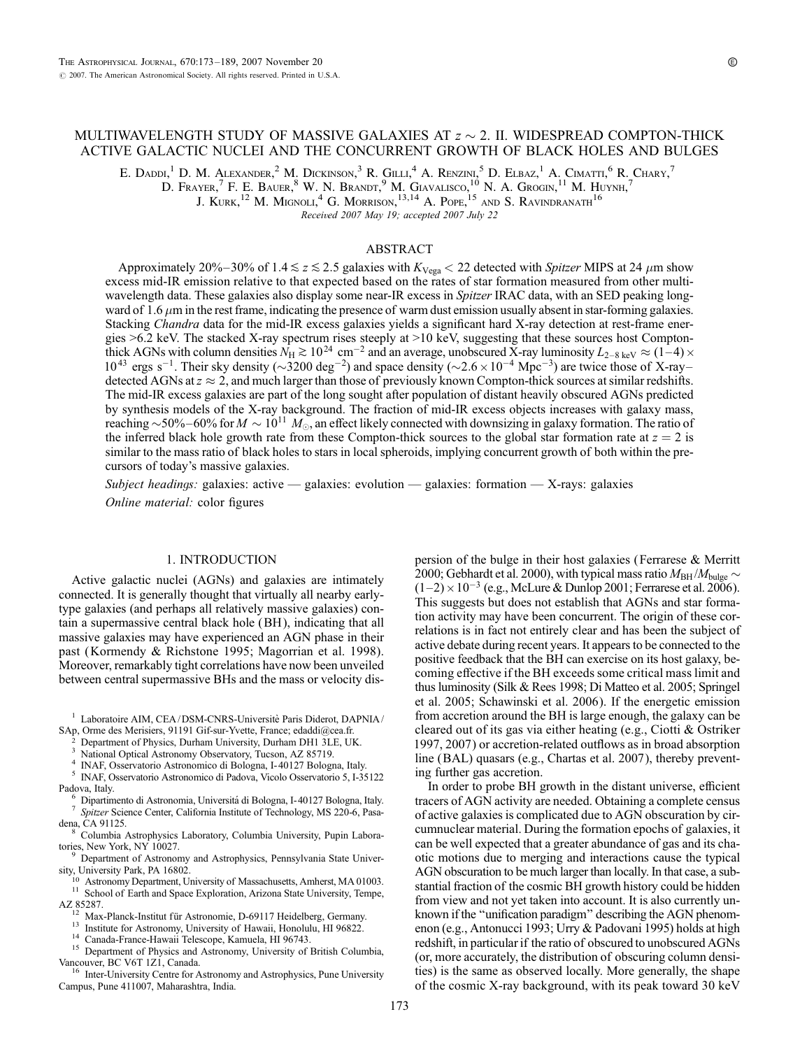# MULTIWAVELENGTH STUDY OF MASSIVE GALAXIES AT  $z \sim 2$ . II. WIDESPREAD COMPTON-THICK ACTIVE GALACTIC NUCLEI AND THE CONCURRENT GROWTH OF BLACK HOLES AND BULGES

E. Daddi,<sup>1</sup> D. M. Alexander,<sup>2</sup> M. Dickinson,<sup>3</sup> R. Gilli,<sup>4</sup> A. Renzini,<sup>5</sup> D. Elbaz,<sup>1</sup> A. Cimatti,<sup>6</sup> R. Chary,<sup>7</sup>

D. Frayer, <sup>7</sup> F. E. Bauer, <sup>8</sup> W. N. Brandt, <sup>9</sup> M. Giavalisco, <sup>10</sup> N. A. Grogin, <sup>11</sup> M. Huynh, <sup>7</sup>

J. Kurk, $^{12}$  M. Mignoli, $^{4}$  G. Morrison, $^{13,14}$  A. Pope,  $^{15}$  and S. Ravindranath $^{16}$ 

Received 2007 May 19; accepted 2007 July 22

# ABSTRACT

Approximately 20%-30% of 1.4  $\le z \le 2.5$  galaxies with K<sub>Vega</sub>  $<$  22 detected with Spitzer MIPS at 24  $\mu$ m show excess mid-IR emission relative to that expected based on the rates of star formation measured from other multiwavelength data. These galaxies also display some near-IR excess in Spitzer IRAC data, with an SED peaking longward of 1.6  $\mu$ m in the rest frame, indicating the presence of warm dust emission usually absent in star-forming galaxies. Stacking *Chandra* data for the mid-IR excess galaxies yields a significant hard X-ray detection at rest-frame energies >6.2 keV. The stacked X-ray spectrum rises steeply at >10 keV, suggesting that these sources host Comptonthick AGNs with column densities  $N_H \gtrsim 10^{24} \text{ cm}^{-2}$  and an average, unobscured X-ray luminosity  $L_{2-8 \text{ keV}} \approx (1-4) \times$  $10^{43}$  ergs s<sup>-1</sup>. Their sky density ( $\sim$ 3200 deg<sup>-2</sup>) and space density ( $\sim$ 2.6  $\times$  10<sup>-4</sup> Mpc<sup>-3</sup>) are twice those of X-raydetected AGNs at  $z \approx 2$ , and much larger than those of previously known Compton-thick sources at similar redshifts. The mid-IR excess galaxies are part of the long sought after population of distant heavily obscured AGNs predicted by synthesis models of the X-ray background. The fraction of mid-IR excess objects increases with galaxy mass, reaching  $\sim$  50%–60% for  $M \sim 10^{11}~M_{\odot}$ , an effect likely connected with downsizing in galaxy formation. The ratio of the inferred black hole growth rate from these Compton-thick sources to the global star formation rate at  $z = 2$  is similar to the mass ratio of black holes to stars in local spheroids, implying concurrent growth of both within the precursors of today's massive galaxies.

Subject headings: galaxies: active — galaxies: evolution — galaxies: formation — X-rays: galaxies Online material: color figures

#### 1. INTRODUCTION

Active galactic nuclei (AGNs) and galaxies are intimately connected. It is generally thought that virtually all nearby earlytype galaxies (and perhaps all relatively massive galaxies) contain a supermassive central black hole (BH ), indicating that all massive galaxies may have experienced an AGN phase in their past (Kormendy & Richstone 1995; Magorrian et al. 1998). Moreover, remarkably tight correlations have now been unveiled between central supermassive BHs and the mass or velocity dis-

- 
- Department of Physics, Durham University, Durham DH1 3LE, UK.<br>National Optical Astronomy Observatory, Tucson, AZ 85719.<br>INAF, Osservatorio Astronomico di Bologna, I-40127 Bologna, Italy.<br>INAF, Osservatorio Astronomico di P
- Padova, Italy.<br>6 Dipartimento di Astronomia, Universitá di Bologna, I-40127 Bologna, Italy.<br>7 Spitzer Science Center, California Institute of Technology, MS 220-6, Pasa-
- 
- dena, CA 91125.<br><sup>8</sup> Columbia Astrophysics Laboratory, Columbia University, Pupin Laboratories, New York, NY 10027.
- <sup>9</sup> Department of Astronomy and Astrophysics, Pennsylvania State Univer-
- sity, University Park, PA 16802.<br><sup>10</sup> Astronomy Department, University of Massachusetts, Amherst, MA 01003.
- $11$  School of Earth and Space Exploration, Arizona State University, Tempe,
- 
- 
- 
- AZ 85287.<br>
<sup>12</sup> Max-Planck-Institut für Astronomie, D-69117 Heidelberg, Germany.<br>
<sup>13</sup> Institute for Astronomy, University of Hawaii, Honolulu, HI 96822.<br>
<sup>14</sup> Canada-France-Hawaii Telescope, Kamuela, HI 96743.<br>
<sup>15</sup> Depar

Inter-University Centre for Astronomy and Astrophysics, Pune University Campus, Pune 411007, Maharashtra, India.

persion of the bulge in their host galaxies (Ferrarese & Merritt 2000; Gebhardt et al. 2000), with typical mass ratio  $M_{\rm BH}/M_{\rm bulge} \sim$  $(1-2) \times 10^{-3}$  (e.g., McLure & Dunlop 2001; Ferrarese et al. 2006). This suggests but does not establish that AGNs and star formation activity may have been concurrent. The origin of these correlations is in fact not entirely clear and has been the subject of active debate during recent years. It appears to be connected to the positive feedback that the BH can exercise on its host galaxy, becoming effective if the BH exceeds some critical mass limit and thus luminosity (Silk & Rees 1998; Di Matteo et al. 2005; Springel et al. 2005; Schawinski et al. 2006). If the energetic emission from accretion around the BH is large enough, the galaxy can be cleared out of its gas via either heating (e.g., Ciotti & Ostriker 1997, 2007) or accretion-related outflows as in broad absorption line (BAL) quasars (e.g., Chartas et al. 2007), thereby preventing further gas accretion.

In order to probe BH growth in the distant universe, efficient tracers of AGN activity are needed. Obtaining a complete census of active galaxies is complicated due to AGN obscuration by circumnuclear material. During the formation epochs of galaxies, it can be well expected that a greater abundance of gas and its chaotic motions due to merging and interactions cause the typical AGN obscuration to be much larger than locally. In that case, a substantial fraction of the cosmic BH growth history could be hidden from view and not yet taken into account. It is also currently unknown if the ''unification paradigm'' describing the AGN phenomenon (e.g., Antonucci 1993; Urry & Padovani 1995) holds at high redshift, in particular if the ratio of obscured to unobscured AGNs (or, more accurately, the distribution of obscuring column densities) is the same as observed locally. More generally, the shape of the cosmic X-ray background, with its peak toward 30 keV

 $^{\rm 1}$  Laboratoire AIM, CEA/DSM-CNRS-Universite` Paris Diderot, DAPNIA/ SAp, Orme des Merisiers, 91191 Gif-sur-Yvette, France; edaddi@cea.fr.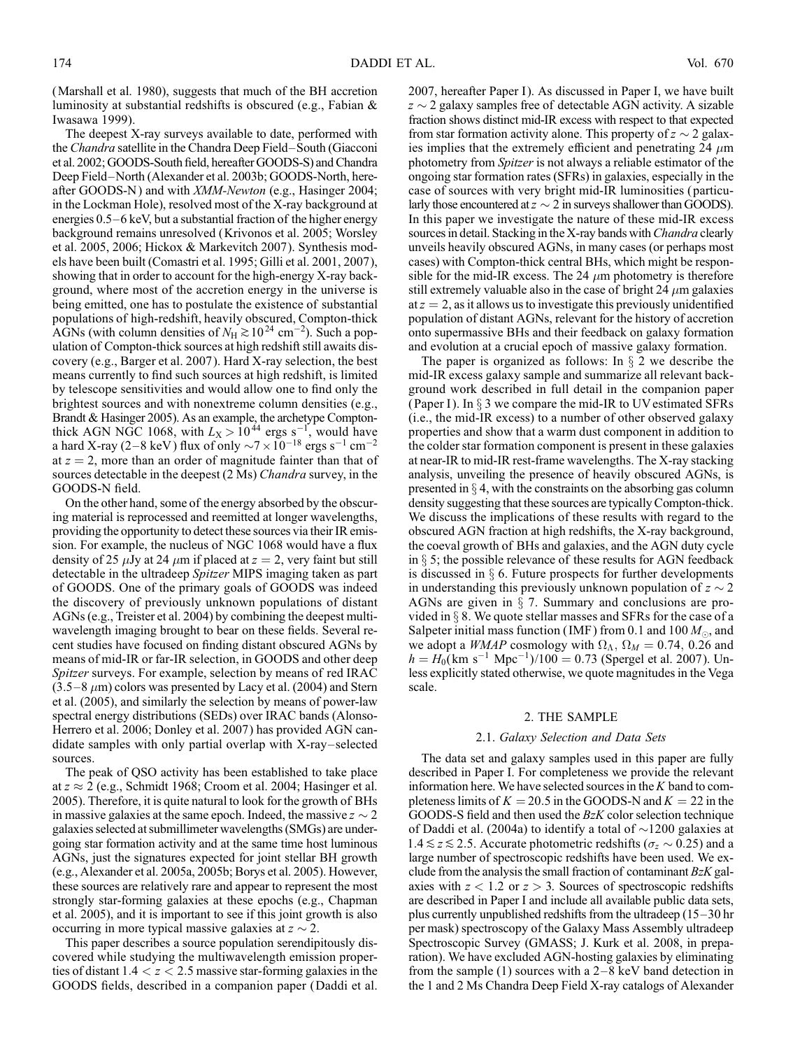(Marshall et al. 1980), suggests that much of the BH accretion luminosity at substantial redshifts is obscured (e.g., Fabian & Iwasawa 1999).

The deepest X-ray surveys available to date, performed with the *Chandra* satellite in the Chandra Deep Field–South (Giacconi et al. 2002; GOODS-South field, hereafter GOODS-S) and Chandra Deep Field–North (Alexander et al. 2003b; GOODS-North, hereafter GOODS-N) and with *XMM-Newton* (e.g., Hasinger 2004; in the Lockman Hole), resolved most of the X-ray background at energies  $0.5-6$  keV, but a substantial fraction of the higher energy background remains unresolved (Krivonos et al. 2005; Worsley et al. 2005, 2006; Hickox & Markevitch 2007). Synthesis models have been built (Comastri et al. 1995; Gilli et al. 2001, 2007), showing that in order to account for the high-energy X-ray background, where most of the accretion energy in the universe is being emitted, one has to postulate the existence of substantial populations of high-redshift, heavily obscured, Compton-thick AGNs (with column densities of  $N_H \gtrsim 10^{24}$  cm<sup>-2</sup>). Such a population of Compton-thick sources at high redshift still awaits discovery (e.g., Barger et al. 2007). Hard X-ray selection, the best means currently to find such sources at high redshift, is limited by telescope sensitivities and would allow one to find only the brightest sources and with nonextreme column densities (e.g., Brandt & Hasinger 2005). As an example, the archetype Comptonthick AGN NGC 1068, with  $L_X > 10^{44}$  ergs s<sup>-1</sup>, would have a hard X-ray (2–8 keV) flux of only  $\sim$ 7  $\times$  10<sup>-18</sup> ergs s<sup>-1</sup> cm<sup>-2</sup> at  $z = 2$ , more than an order of magnitude fainter than that of sources detectable in the deepest (2 Ms) Chandra survey, in the GOODS-N field.

On the other hand, some of the energy absorbed by the obscuring material is reprocessed and reemitted at longer wavelengths, providing the opportunity to detect these sources via their IR emission. For example, the nucleus of NGC 1068 would have a flux density of 25  $\mu$ Jy at 24  $\mu$ m if placed at  $z = 2$ , very faint but still detectable in the ultradeep Spitzer MIPS imaging taken as part of GOODS. One of the primary goals of GOODS was indeed the discovery of previously unknown populations of distant AGNs (e.g., Treister et al. 2004) by combining the deepest multiwavelength imaging brought to bear on these fields. Several recent studies have focused on finding distant obscured AGNs by means of mid-IR or far-IR selection, in GOODS and other deep Spitzer surveys. For example, selection by means of red IRAC  $(3.5-8 \,\mu m)$  colors was presented by Lacy et al. (2004) and Stern et al. (2005), and similarly the selection by means of power-law spectral energy distributions (SEDs) over IRAC bands (Alonso-Herrero et al. 2006; Donley et al. 2007) has provided AGN candidate samples with only partial overlap with  $X$ -ray-selected sources.

The peak of QSO activity has been established to take place at  $z \approx 2$  (e.g., Schmidt 1968; Croom et al. 2004; Hasinger et al. 2005). Therefore, it is quite natural to look for the growth of BHs in massive galaxies at the same epoch. Indeed, the massive  $z \sim 2$ galaxies selected at submillimeter wavelengths (SMGs) are undergoing star formation activity and at the same time host luminous AGNs, just the signatures expected for joint stellar BH growth (e.g., Alexander et al. 2005a, 2005b; Borys et al. 2005). However, these sources are relatively rare and appear to represent the most strongly star-forming galaxies at these epochs (e.g., Chapman et al. 2005), and it is important to see if this joint growth is also occurring in more typical massive galaxies at  $z \sim 2$ .

This paper describes a source population serendipitously discovered while studying the multiwavelength emission properties of distant  $1.4 < z < 2.5$  massive star-forming galaxies in the GOODS fields, described in a companion paper (Daddi et al.

2007, hereafter Paper I). As discussed in Paper I, we have built  $z \sim 2$  galaxy samples free of detectable AGN activity. A sizable fraction shows distinct mid-IR excess with respect to that expected from star formation activity alone. This property of  $z \sim 2$  galaxies implies that the extremely efficient and penetrating 24  $\mu$ m photometry from Spitzer is not always a reliable estimator of the ongoing star formation rates (SFRs) in galaxies, especially in the case of sources with very bright mid-IR luminosities ( particularly those encountered at  $z \sim 2$  in surveys shallower than GOODS). In this paper we investigate the nature of these mid-IR excess sources in detail. Stacking in the X-ray bands with *Chandra* clearly unveils heavily obscured AGNs, in many cases (or perhaps most cases) with Compton-thick central BHs, which might be responsible for the mid-IR excess. The 24  $\mu$ m photometry is therefore still extremely valuable also in the case of bright 24  $\mu$ m galaxies at  $z = 2$ , as it allows us to investigate this previously unidentified population of distant AGNs, relevant for the history of accretion onto supermassive BHs and their feedback on galaxy formation and evolution at a crucial epoch of massive galaxy formation.

The paper is organized as follows: In  $\S$  2 we describe the mid-IR excess galaxy sample and summarize all relevant background work described in full detail in the companion paper (Paper I). In  $\S$  3 we compare the mid-IR to UV estimated SFRs (i.e., the mid-IR excess) to a number of other observed galaxy properties and show that a warm dust component in addition to the colder star formation component is present in these galaxies at near-IR to mid-IR rest-frame wavelengths. The X-ray stacking analysis, unveiling the presence of heavily obscured AGNs, is presented in  $\S 4$ , with the constraints on the absorbing gas column density suggesting that these sources are typically Compton-thick. We discuss the implications of these results with regard to the obscured AGN fraction at high redshifts, the X-ray background, the coeval growth of BHs and galaxies, and the AGN duty cycle in  $\S$  5; the possible relevance of these results for AGN feedback is discussed in  $\S$  6. Future prospects for further developments in understanding this previously unknown population of  $z \sim 2$ AGNs are given in  $\S$  7. Summary and conclusions are provided in  $\S$  8. We quote stellar masses and SFRs for the case of a Salpeter initial mass function (IMF) from 0.1 and 100  $M_{\odot}$ , and we adopt a *WMAP* cosmology with  $\Omega_{\Lambda}$ ,  $\Omega_M = 0.74$ , 0.26 and  $h = H_0(km \text{ s}^{-1} \text{ Mpc}^{-1})/100 = 0.73$  (Spergel et al. 2007). Unless explicitly stated otherwise, we quote magnitudes in the Vega scale.

### 2. THE SAMPLE

#### 2.1. Galaxy Selection and Data Sets

The data set and galaxy samples used in this paper are fully described in Paper I. For completeness we provide the relevant information here. We have selected sources in the  $K$  band to completeness limits of  $K = 20.5$  in the GOODS-N and  $K = 22$  in the GOODS-S field and then used the  $BzK$  color selection technique of Daddi et al. (2004a) to identify a total of  $\sim$ 1200 galaxies at  $1.4 \le z \le 2.5$ . Accurate photometric redshifts ( $\sigma_z \sim 0.25$ ) and a large number of spectroscopic redshifts have been used. We exclude from the analysis the small fraction of contaminant  $BzK$  galaxies with  $z < 1.2$  or  $z > 3$ . Sources of spectroscopic redshifts are described in Paper I and include all available public data sets, plus currently unpublished redshifts from the ultradeep  $(15-30$  hr per mask) spectroscopy of the Galaxy Mass Assembly ultradeep Spectroscopic Survey (GMASS; J. Kurk et al. 2008, in preparation). We have excluded AGN-hosting galaxies by eliminating from the sample (1) sources with a  $2-8$  keV band detection in the 1 and 2 Ms Chandra Deep Field X-ray catalogs of Alexander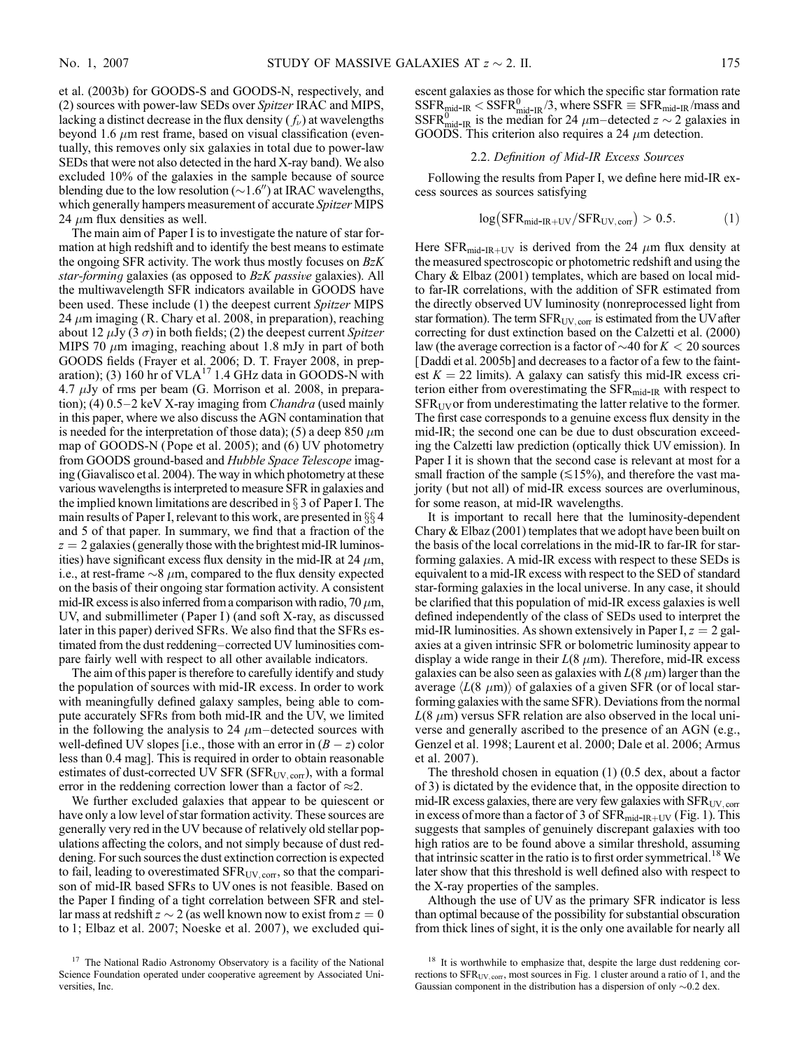et al. (2003b) for GOODS-S and GOODS-N, respectively, and (2) sources with power-law SEDs over Spitzer IRAC and MIPS, lacking a distinct decrease in the flux density  $(f_\nu)$  at wavelengths beyond 1.6  $\mu$ m rest frame, based on visual classification (eventually, this removes only six galaxies in total due to power-law SEDs that were not also detected in the hard X-ray band). We also excluded 10% of the galaxies in the sample because of source blending due to the low resolution ( $\sim$ 1.6") at IRAC wavelengths, which generally hampers measurement of accurate *Spitzer* MIPS 24  $\mu$ m flux densities as well.

The main aim of Paper I is to investigate the nature of star formation at high redshift and to identify the best means to estimate the ongoing SFR activity. The work thus mostly focuses on  $BzK$ star-forming galaxies (as opposed to BzK passive galaxies). All the multiwavelength SFR indicators available in GOODS have been used. These include (1) the deepest current Spitzer MIPS 24  $\mu$ m imaging (R. Chary et al. 2008, in preparation), reaching about 12  $\mu$ Jy (3  $\sigma$ ) in both fields; (2) the deepest current Spitzer MIPS 70  $\mu$ m imaging, reaching about 1.8 mJy in part of both GOODS fields (Frayer et al. 2006; D. T. Frayer 2008, in preparation); (3)  $160$  hr of VLA<sup>17</sup> 1.4 GHz data in GOODS-N with  $4.7 \mu Jy$  of rms per beam (G. Morrison et al. 2008, in preparation); (4)  $0.5-2$  keV X-ray imaging from *Chandra* (used mainly in this paper, where we also discuss the AGN contamination that is needed for the interpretation of those data); (5) a deep 850  $\mu$ m map of GOODS-N (Pope et al. 2005); and (6) UV photometry from GOODS ground-based and Hubble Space Telescope imaging (Giavalisco et al. 2004). The way in which photometry at these various wavelengths is interpreted to measure SFR in galaxies and the implied known limitations are described in  $\S$  3 of Paper I. The main results of Paper I, relevant to this work, are presented in  $\S\S 4$ and 5 of that paper. In summary, we find that a fraction of the  $z = 2$  galaxies (generally those with the brightest mid-IR luminosities) have significant excess flux density in the mid-IR at 24  $\mu$ m, i.e., at rest-frame  $\sim$ 8  $\mu$ m, compared to the flux density expected on the basis of their ongoing star formation activity. A consistent mid-IR excess is also inferred from a comparison with radio, 70  $\mu$ m, UV, and submillimeter (Paper I) (and soft X-ray, as discussed later in this paper) derived SFRs. We also find that the SFRs estimated from the dust reddening-corrected UV luminosities compare fairly well with respect to all other available indicators.

The aim of this paper is therefore to carefully identify and study the population of sources with mid-IR excess. In order to work with meaningfully defined galaxy samples, being able to compute accurately SFRs from both mid-IR and the UV, we limited in the following the analysis to 24  $\mu$ m-detected sources with well-defined UV slopes [i.e., those with an error in  $(B - z)$  color less than 0.4 mag]. This is required in order to obtain reasonable estimates of dust-corrected UV SFR (SFR<sub>UV, corr</sub>), with a formal error in the reddening correction lower than a factor of  $\approx 2$ .

We further excluded galaxies that appear to be quiescent or have only a low level of star formation activity. These sources are generally very red in the UV because of relatively old stellar populations affecting the colors, and not simply because of dust reddening. For such sources the dust extinction correction is expected to fail, leading to overestimated  $SFR_{UV,corr}$ , so that the comparison of mid-IR based SFRs to UV ones is not feasible. Based on the Paper I finding of a tight correlation between SFR and stellar mass at redshift  $z \sim 2$  (as well known now to exist from  $z = 0$ ) to 1; Elbaz et al. 2007; Noeske et al. 2007), we excluded quiescent galaxies as those for which the specific star formation rate  $SSFR_{mid-IR}^{\circ} < SSFR_{mid-IR}^{\circ}/3$ , where  $SSFR \equiv SFR_{mid-IR}/mass$  and SSFR $_{mid}^{0}$  is the median for 24  $\mu$ m-detected  $z \sim 2$  galaxies in GOODS. This criterion also requires a 24  $\mu$ m detection.

## 2.2. Definition of Mid-IR Excess Sources

Following the results from Paper I, we define here mid-IR excess sources as sources satisfying

$$
log(SFR_{mid-IR+UV}/SFR_{UV,corr}) > 0.5.
$$
 (1)

Here SFR<sub>mid-IR+UV</sub> is derived from the 24  $\mu$ m flux density at the measured spectroscopic or photometric redshift and using the Chary & Elbaz (2001) templates, which are based on local midto far-IR correlations, with the addition of SFR estimated from the directly observed UV luminosity (nonreprocessed light from star formation). The term  $SFR_{UV,corr}$  is estimated from the UV after correcting for dust extinction based on the Calzetti et al. (2000) law (the average correction is a factor of  $\sim$ 40 for  $K < 20$  sources [Daddi et al. 2005b] and decreases to a factor of a few to the faintest  $K = 22$  limits). A galaxy can satisfy this mid-IR excess criterion either from overestimating the  $SFR_{mid-IR}$  with respect to  $SFR_{UV}$  or from underestimating the latter relative to the former. The first case corresponds to a genuine excess flux density in the mid-IR; the second one can be due to dust obscuration exceeding the Calzetti law prediction (optically thick UV emission). In Paper I it is shown that the second case is relevant at most for a small fraction of the sample  $(\leq15\%)$ , and therefore the vast majority ( but not all) of mid-IR excess sources are overluminous, for some reason, at mid-IR wavelengths.

It is important to recall here that the luminosity-dependent Chary & Elbaz (2001) templates that we adopt have been built on the basis of the local correlations in the mid-IR to far-IR for starforming galaxies. A mid-IR excess with respect to these SEDs is equivalent to a mid-IR excess with respect to the SED of standard star-forming galaxies in the local universe. In any case, it should be clarified that this population of mid-IR excess galaxies is well defined independently of the class of SEDs used to interpret the mid-IR luminosities. As shown extensively in Paper I,  $z = 2$  galaxies at a given intrinsic SFR or bolometric luminosity appear to display a wide range in their  $L(8 \mu m)$ . Therefore, mid-IR excess galaxies can be also seen as galaxies with  $L(8 \mu m)$  larger than the average  $\langle L(8 \mu m) \rangle$  of galaxies of a given SFR (or of local starforming galaxies with the same SFR). Deviations from the normal  $L(8 \mu m)$  versus SFR relation are also observed in the local universe and generally ascribed to the presence of an AGN (e.g., Genzel et al. 1998; Laurent et al. 2000; Dale et al. 2006; Armus et al. 2007).

The threshold chosen in equation (1) (0.5 dex, about a factor of 3) is dictated by the evidence that, in the opposite direction to mid-IR excess galaxies, there are very few galaxies with  $SFR_{UV,corr}$ in excess of more than a factor of 3 of  $SFR_{mid-IR+UV}$  (Fig. 1). This suggests that samples of genuinely discrepant galaxies with too high ratios are to be found above a similar threshold, assuming that intrinsic scatter in the ratio is to first order symmetrical.<sup>18</sup> We later show that this threshold is well defined also with respect to the X-ray properties of the samples.

Although the use of UV as the primary SFR indicator is less than optimal because of the possibility for substantial obscuration from thick lines of sight, it is the only one available for nearly all

<sup>&</sup>lt;sup>17</sup> The National Radio Astronomy Observatory is a facility of the National Science Foundation operated under cooperative agreement by Associated Universities, Inc.

<sup>&</sup>lt;sup>18</sup> It is worthwhile to emphasize that, despite the large dust reddening corrections to SFR<sub>UV, corr</sub>, most sources in Fig. 1 cluster around a ratio of 1, and the Gaussian component in the distribution has a dispersion of only  $\sim 0.2$  dex.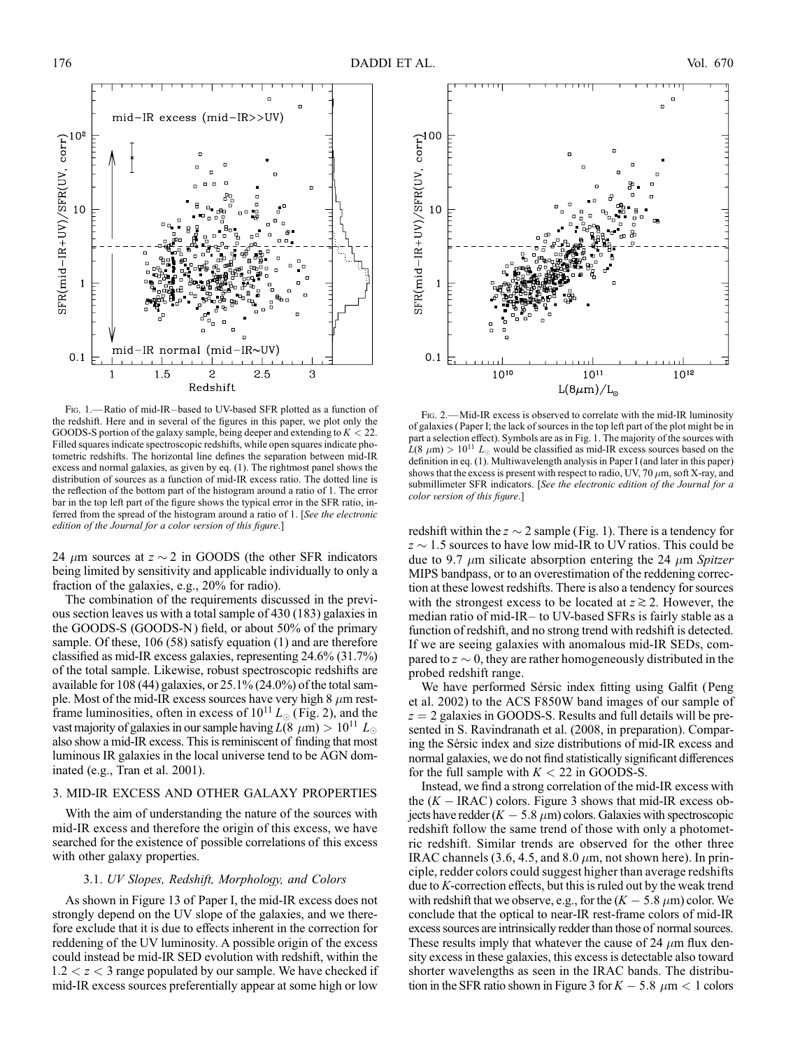

FIG. 1.—Ratio of mid-IR-based to UV-based SFR plotted as a function of the redshift. Here and in several of the figures in this paper, we plot only the GOODS-S portion of the galaxy sample, being deeper and extending to  $K < 22$ . Filled squares indicate spectroscopic redshifts, while open squares indicate photometric redshifts. The horizontal line defines the separation between mid-IR excess and normal galaxies, as given by eq. (1). The rightmost panel shows the distribution of sources as a function of mid-IR excess ratio. The dotted line is the reflection of the bottom part of the histogram around a ratio of 1. The error bar in the top left part of the figure shows the typical error in the SFR ratio, inferred from the spread of the histogram around a ratio of 1. [See the electronic edition of the Journal for a color version of this figure.]

24  $\mu$ m sources at  $z \sim 2$  in GOODS (the other SFR indicators being limited by sensitivity and applicable individually to only a fraction of the galaxies, e.g., 20% for radio).

The combination of the requirements discussed in the previous section leaves us with a total sample of 430 (183) galaxies in the GOODS-S (GOODS-N ) field, or about 50% of the primary sample. Of these, 106 (58) satisfy equation (1) and are therefore classified as mid-IR excess galaxies, representing 24.6% (31.7%) of the total sample. Likewise, robust spectroscopic redshifts are available for 108 (44) galaxies, or 25.1% (24.0%) of the total sample. Most of the mid-IR excess sources have very high  $8 \mu m$  restframe luminosities, often in excess of  $10^{11} L_{\odot}$  (Fig. 2), and the vast majority of galaxies in our sample having  $L(8 \mu m) > 10^{11} L_{\odot}$ also show a mid-IR excess. This is reminiscent of finding that most luminous IR galaxies in the local universe tend to be AGN dominated (e.g., Tran et al. 2001).

# 3. MID-IR EXCESS AND OTHER GALAXY PROPERTIES

With the aim of understanding the nature of the sources with mid-IR excess and therefore the origin of this excess, we have searched for the existence of possible correlations of this excess with other galaxy properties.

## 3.1. UV Slopes, Redshift, Morphology, and Colors

As shown in Figure 13 of Paper I, the mid-IR excess does not strongly depend on the UV slope of the galaxies, and we therefore exclude that it is due to effects inherent in the correction for reddening of the UV luminosity. A possible origin of the excess could instead be mid-IR SED evolution with redshift, within the  $1.2 < z < 3$  range populated by our sample. We have checked if mid-IR excess sources preferentially appear at some high or low



Fig. 2.—Mid-IR excess is observed to correlate with the mid-IR luminosity of galaxies ( Paper I; the lack of sources in the top left part of the plot might be in part a selection effect). Symbols are as in Fig. 1. The majority of the sources with  $L(8 \mu m) > 10^{11} L_{\odot}$  would be classified as mid-IR excess sources based on the definition in eq. (1). Multiwavelength analysis in Paper I (and later in this paper) shows that the excess is present with respect to radio, UV, 70  $\mu$ m, soft X-ray, and submillimeter SFR indicators. [See the electronic edition of the Journal for a color version of this figure.]

redshift within the  $z \sim 2$  sample (Fig. 1). There is a tendency for  $z \sim 1.5$  sources to have low mid-IR to UV ratios. This could be due to 9.7  $\mu$ m silicate absorption entering the 24  $\mu$ m Spitzer MIPS bandpass, or to an overestimation of the reddening correction at these lowest redshifts. There is also a tendency for sources with the strongest excess to be located at  $z \gtrsim 2$ . However, the median ratio of mid-IR $-$  to UV-based SFRs is fairly stable as a function of redshift, and no strong trend with redshift is detected. If we are seeing galaxies with anomalous mid-IR SEDs, compared to  $z \sim 0$ , they are rather homogeneously distributed in the probed redshift range.

We have performed Sérsic index fitting using Galfit (Peng et al. 2002) to the ACS F850W band images of our sample of  $z = 2$  galaxies in GOODS-S. Results and full details will be presented in S. Ravindranath et al. (2008, in preparation). Comparing the Sérsic index and size distributions of mid-IR excess and normal galaxies, we do not find statistically significant differences for the full sample with  $K < 22$  in GOODS-S.

Instead, we find a strong correlation of the mid-IR excess with the  $(K - \text{IRAC})$  colors. Figure 3 shows that mid-IR excess objects have redder  $(K - 5.8 \ \mu m)$  colors. Galaxies with spectroscopic redshift follow the same trend of those with only a photometric redshift. Similar trends are observed for the other three IRAC channels (3.6, 4.5, and 8.0  $\mu$ m, not shown here). In principle, redder colors could suggest higher than average redshifts due to K-correction effects, but this is ruled out by the weak trend with redshift that we observe, e.g., for the  $(K - 5.8 \ \mu m)$  color. We conclude that the optical to near-IR rest-frame colors of mid-IR excess sources are intrinsically redder than those of normal sources. These results imply that whatever the cause of 24  $\mu$ m flux density excess in these galaxies, this excess is detectable also toward shorter wavelengths as seen in the IRAC bands. The distribution in the SFR ratio shown in Figure 3 for  $K - 5.8 \mu m < 1$  colors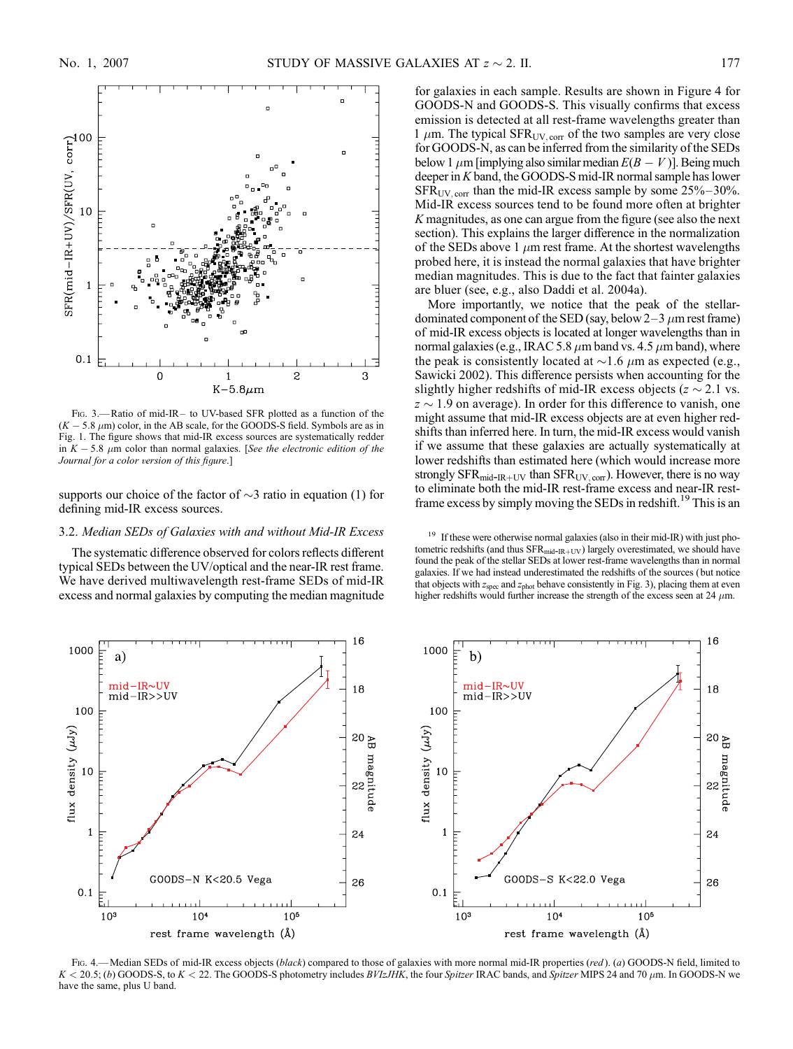

FIG. 3.-Ratio of mid-IR- to UV-based SFR plotted as a function of the  $(K - 5.8 \mu m)$  color, in the AB scale, for the GOODS-S field. Symbols are as in Fig. 1. The figure shows that mid-IR excess sources are systematically redder in  $K - 5.8$   $\mu$ m color than normal galaxies. [See the electronic edition of the Journal for a color version of this figure.]

supports our choice of the factor of  $\sim$ 3 ratio in equation (1) for defining mid-IR excess sources.

# 3.2. Median SEDs of Galaxies with and without Mid-IR Excess

The systematic difference observed for colors reflects different typical SEDs between the UV/optical and the near-IR rest frame. We have derived multiwavelength rest-frame SEDs of mid-IR excess and normal galaxies by computing the median magnitude for galaxies in each sample. Results are shown in Figure 4 for GOODS-N and GOODS-S. This visually confirms that excess emission is detected at all rest-frame wavelengths greater than 1  $\mu$ m. The typical SFR<sub>UV, corr</sub> of the two samples are very close for GOODS-N, as can be inferred from the similarity of the SEDs below 1  $\mu$ m [implying also similar median  $E(B - V)$ ]. Being much deeper in K band, the GOODS-S mid-IR normal sample has lower  $SFR_{UV,corr}$  than the mid-IR excess sample by some  $25\% - 30\%$ . Mid-IR excess sources tend to be found more often at brighter K magnitudes, as one can argue from the figure (see also the next section). This explains the larger difference in the normalization of the SEDs above 1  $\mu$ m rest frame. At the shortest wavelengths probed here, it is instead the normal galaxies that have brighter median magnitudes. This is due to the fact that fainter galaxies are bluer (see, e.g., also Daddi et al. 2004a).

More importantly, we notice that the peak of the stellardominated component of the SED (say, below  $2-3 \mu$ m rest frame) of mid-IR excess objects is located at longer wavelengths than in normal galaxies (e.g., IRAC 5.8  $\mu$ m band vs. 4.5  $\mu$ m band), where the peak is consistently located at  $\sim$ 1.6  $\mu$ m as expected (e.g., Sawicki 2002). This difference persists when accounting for the slightly higher redshifts of mid-IR excess objects ( $z \sim 2.1$  vs.  $z \sim 1.9$  on average). In order for this difference to vanish, one might assume that mid-IR excess objects are at even higher redshifts than inferred here. In turn, the mid-IR excess would vanish if we assume that these galaxies are actually systematically at lower redshifts than estimated here (which would increase more strongly  $SFR_{mid-R+UV}$  than  $SFR_{UV,corr}$ ). However, there is no way to eliminate both the mid-IR rest-frame excess and near-IR restframe excess by simply moving the SEDs in redshift.<sup>19</sup> This is an

<sup>19</sup> If these were otherwise normal galaxies (also in their mid-IR) with just photometric redshifts (and thus  $SFR_{mid-IR+UV}$ ) largely overestimated, we should have found the peak of the stellar SEDs at lower rest-frame wavelengths than in normal galaxies. If we had instead underestimated the redshifts of the sources ( but notice that objects with  $z_{\text{spec}}$  and  $z_{\text{phot}}$  behave consistently in Fig. 3), placing them at even higher redshifts would further increase the strength of the excess seen at 24  $\mu$ m.



Fig. 4.—Median SEDs of mid-IR excess objects (black) compared to those of galaxies with more normal mid-IR properties (red). (a) GOODS-N field, limited to  $K < 20.5$ ; (b) GOODS-S, to  $K < 22$ . The GOODS-S photometry includes  $BVIzJHK$ , the four Spitzer IRAC bands, and Spitzer MIPS 24 and 70  $\mu$ m. In GOODS-N we have the same, plus U band.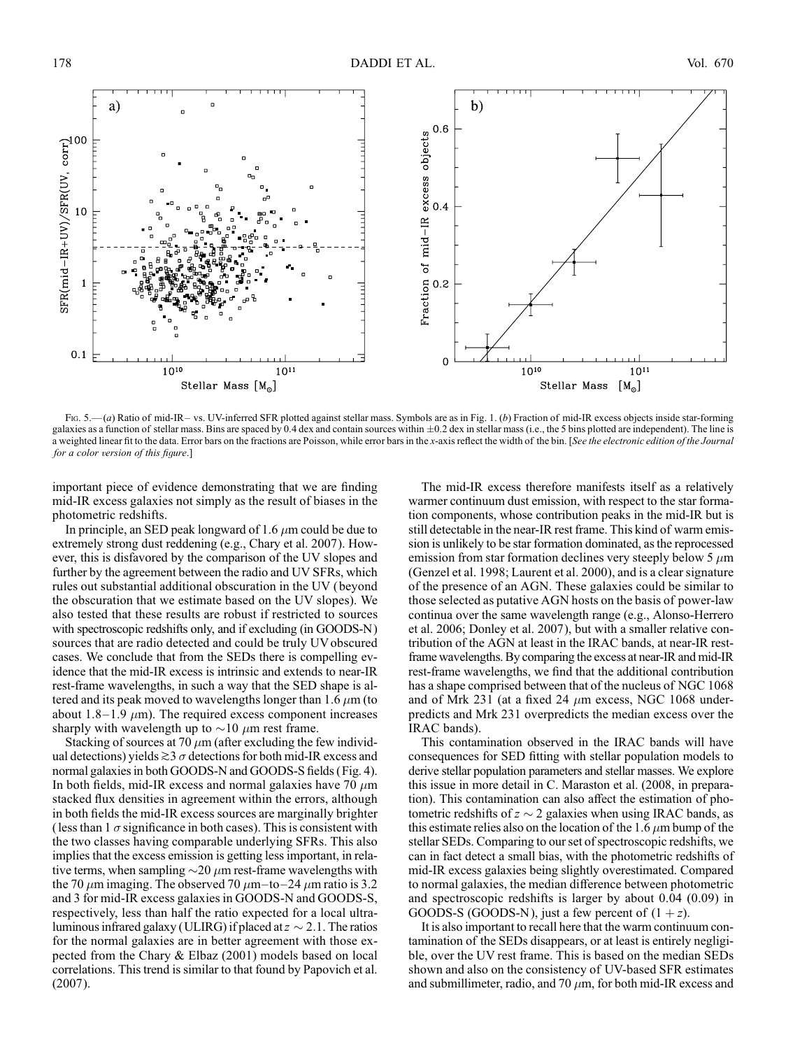

Fig. 5.—(a) Ratio of mid-IR- vs. UV-inferred SFR plotted against stellar mass. Symbols are as in Fig. 1. (b) Fraction of mid-IR excess objects inside star-forming galaxies as a function of stellar mass. Bins are spaced by 0.4 dex and contain sources within  $\pm 0.2$  dex in stellar mass (i.e., the 5 bins plotted are independent). The line is a weighted linear fit to the data. Error bars on the fractions are Poisson, while error bars in the x-axis reflect the width of the bin. [See the electronic edition of the Journal for a color version of this figure.]

important piece of evidence demonstrating that we are finding mid-IR excess galaxies not simply as the result of biases in the photometric redshifts.

In principle, an SED peak longward of 1.6  $\mu$ m could be due to extremely strong dust reddening (e.g., Chary et al. 2007). However, this is disfavored by the comparison of the UV slopes and further by the agreement between the radio and UV SFRs, which rules out substantial additional obscuration in the UV ( beyond the obscuration that we estimate based on the UV slopes). We also tested that these results are robust if restricted to sources with spectroscopic redshifts only, and if excluding (in GOODS-N) sources that are radio detected and could be truly UV obscured cases. We conclude that from the SEDs there is compelling evidence that the mid-IR excess is intrinsic and extends to near-IR rest-frame wavelengths, in such a way that the SED shape is altered and its peak moved to wavelengths longer than 1.6  $\mu$ m (to about 1.8-1.9  $\mu$ m). The required excess component increases sharply with wavelength up to  $\sim$ 10  $\mu$ m rest frame.

Stacking of sources at 70  $\mu$ m (after excluding the few individual detections) yields  $\gtrsim$  3  $\sigma$  detections for both mid-IR excess and normal galaxies in both GOODS-N and GOODS-S fields (Fig. 4). In both fields, mid-IR excess and normal galaxies have 70  $\mu$ m stacked flux densities in agreement within the errors, although in both fields the mid-IR excess sources are marginally brighter (less than  $1 \sigma$  significance in both cases). This is consistent with the two classes having comparable underlying SFRs. This also implies that the excess emission is getting less important, in relative terms, when sampling  $\sim 20 \mu m$  rest-frame wavelengths with the 70  $\mu$ m imaging. The observed 70  $\mu$ m-to-24  $\mu$ m ratio is 3.2 and 3 for mid-IR excess galaxies in GOODS-N and GOODS-S, respectively, less than half the ratio expected for a local ultraluminous infrared galaxy (ULIRG) if placed at  $z \sim 2.1$ . The ratios for the normal galaxies are in better agreement with those expected from the Chary & Elbaz (2001) models based on local correlations. This trend is similar to that found by Papovich et al. (2007).

The mid-IR excess therefore manifests itself as a relatively warmer continuum dust emission, with respect to the star formation components, whose contribution peaks in the mid-IR but is still detectable in the near-IR rest frame. This kind of warm emission is unlikely to be star formation dominated, as the reprocessed emission from star formation declines very steeply below 5  $\mu$ m (Genzel et al. 1998; Laurent et al. 2000), and is a clear signature of the presence of an AGN. These galaxies could be similar to those selected as putative AGN hosts on the basis of power-law continua over the same wavelength range (e.g., Alonso-Herrero et al. 2006; Donley et al. 2007), but with a smaller relative contribution of the AGN at least in the IRAC bands, at near-IR restframe wavelengths. By comparing the excess at near-IR and mid-IR rest-frame wavelengths, we find that the additional contribution has a shape comprised between that of the nucleus of NGC 1068 and of Mrk 231 (at a fixed 24  $\mu$ m excess, NGC 1068 underpredicts and Mrk 231 overpredicts the median excess over the IRAC bands).

This contamination observed in the IRAC bands will have consequences for SED fitting with stellar population models to derive stellar population parameters and stellar masses. We explore this issue in more detail in C. Maraston et al. (2008, in preparation). This contamination can also affect the estimation of photometric redshifts of  $z \sim 2$  galaxies when using IRAC bands, as this estimate relies also on the location of the 1.6  $\mu$ m bump of the stellar SEDs. Comparing to our set of spectroscopic redshifts, we can in fact detect a small bias, with the photometric redshifts of mid-IR excess galaxies being slightly overestimated. Compared to normal galaxies, the median difference between photometric and spectroscopic redshifts is larger by about 0.04 (0.09) in GOODS-S (GOODS-N), just a few percent of  $(1 + z)$ .

It is also important to recall here that the warm continuum contamination of the SEDs disappears, or at least is entirely negligible, over the UV rest frame. This is based on the median SEDs shown and also on the consistency of UV-based SFR estimates and submillimeter, radio, and 70  $\mu$ m, for both mid-IR excess and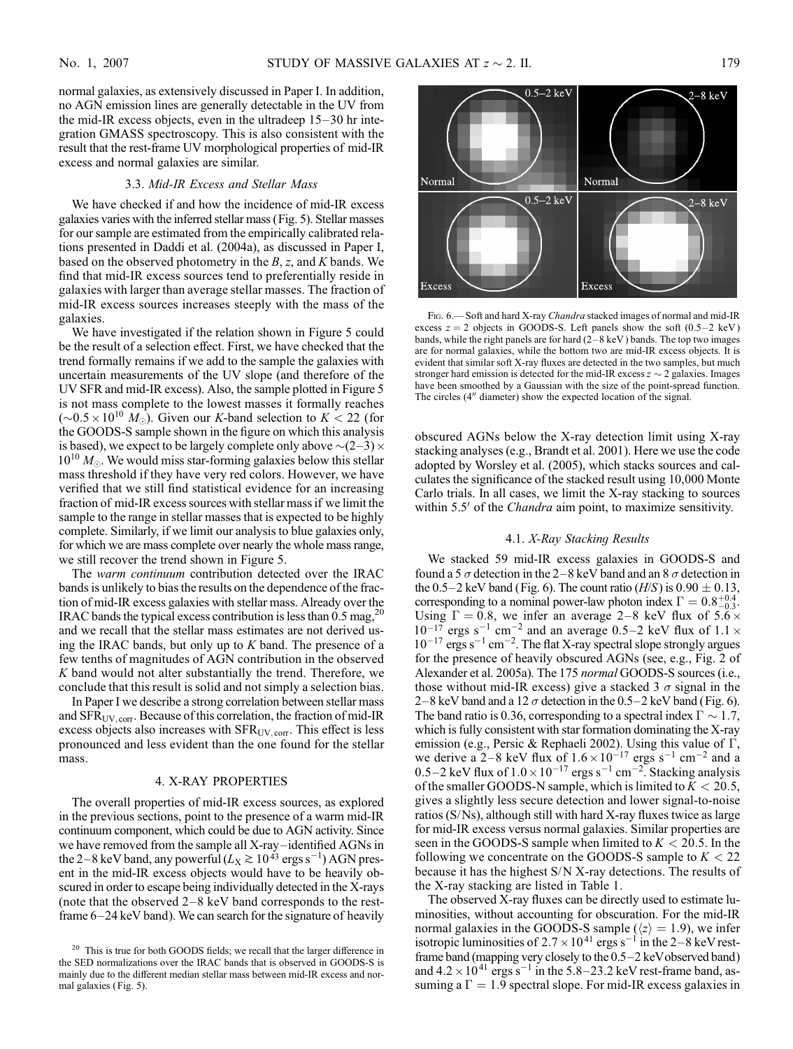normal galaxies, as extensively discussed in Paper I. In addition, no AGN emission lines are generally detectable in the UV from the mid-IR excess objects, even in the ultradeep  $15-30$  hr integration GMASS spectroscopy. This is also consistent with the result that the rest-frame UV morphological properties of mid-IR excess and normal galaxies are similar.

#### 3.3. Mid-IR Excess and Stellar Mass

We have checked if and how the incidence of mid-IR excess galaxies varies with the inferred stellar mass (Fig. 5). Stellar masses for our sample are estimated from the empirically calibrated relations presented in Daddi et al. (2004a), as discussed in Paper I, based on the observed photometry in the  $B$ , z, and  $K$  bands. We find that mid-IR excess sources tend to preferentially reside in galaxies with larger than average stellar masses. The fraction of mid-IR excess sources increases steeply with the mass of the galaxies.

We have investigated if the relation shown in Figure 5 could be the result of a selection effect. First, we have checked that the trend formally remains if we add to the sample the galaxies with uncertain measurements of the UV slope (and therefore of the UV SFR and mid-IR excess). Also, the sample plotted in Figure 5 is not mass complete to the lowest masses it formally reaches  $(\sim 0.5 \times 10^{10} M_{\odot})$ . Given our K-band selection to  $K < 22$  (for the GOODS-S sample shown in the figure on which this analysis is based), we expect to be largely complete only above  $\sim (2-3) \times$  $10^{10}$   $M_{\odot}$ . We would miss star-forming galaxies below this stellar mass threshold if they have very red colors. However, we have verified that we still find statistical evidence for an increasing fraction of mid-IR excess sources with stellar mass if we limit the sample to the range in stellar masses that is expected to be highly complete. Similarly, if we limit our analysis to blue galaxies only, for which we are mass complete over nearly the whole mass range, we still recover the trend shown in Figure 5.

The warm continuum contribution detected over the IRAC bands is unlikely to bias the results on the dependence of the fraction of mid-IR excess galaxies with stellar mass. Already over the IRAC bands the typical excess contribution is less than  $0.5 \text{ mag}^{20}$ and we recall that the stellar mass estimates are not derived using the IRAC bands, but only up to  $K$  band. The presence of a few tenths of magnitudes of AGN contribution in the observed K band would not alter substantially the trend. Therefore, we conclude that this result is solid and not simply a selection bias.

In Paper I we describe a strong correlation between stellar mass and SFRUV; corr. Because of this correlation, the fraction of mid-IR excess objects also increases with  $SFR_{UV,corr}$ . This effect is less pronounced and less evident than the one found for the stellar mass.

#### 4. X-RAY PROPERTIES

The overall properties of mid-IR excess sources, as explored in the previous sections, point to the presence of a warm mid-IR continuum component, which could be due to AGN activity. Since we have removed from the sample all X-ray-identified AGNs in the 2–8 keV band, any powerful  $(L_{\rm X} \gtrsim 10^{43}$  ergs s<sup>-1</sup>) AGN present in the mid-IR excess objects would have to be heavily obscured in order to escape being individually detected in the X-rays (note that the observed  $2-8$  keV band corresponds to the restframe  $6-24$  keV band). We can search for the signature of heavily



FIG. 6. Soft and hard X-ray Chandra stacked images of normal and mid-IR excess  $z = 2$  objects in GOODS-S. Left panels show the soft  $(0.5-2 \text{ keV})$ bands, while the right panels are for hard  $(2-8 \text{ keV})$  bands. The top two images are for normal galaxies, while the bottom two are mid-IR excess objects. It is evident that similar soft X-ray fluxes are detected in the two samples, but much stronger hard emission is detected for the mid-IR excess  $z \sim 2$  galaxies. Images have been smoothed by a Gaussian with the size of the point-spread function. The circles  $(4<sup>''</sup>$  diameter) show the expected location of the signal.

obscured AGNs below the X-ray detection limit using X-ray stacking analyses (e.g., Brandt et al. 2001). Here we use the code adopted by Worsley et al. (2005), which stacks sources and calculates the significance of the stacked result using 10,000 Monte Carlo trials. In all cases, we limit the X-ray stacking to sources within 5.5' of the *Chandra* aim point, to maximize sensitivity.

# 4.1. X-Ray Stacking Results

We stacked 59 mid-IR excess galaxies in GOODS-S and found a 5  $\sigma$  detection in the 2–8 keV band and an 8  $\sigma$  detection in the 0.5–2 keV band (Fig. 6). The count ratio ( $H/S$ ) is 0.90  $\pm$  0.13, corresponding to a nominal power-law photon index  $\Gamma = 0.8_{-0.3}^{+0.4}$ . Using  $\Gamma = 0.8$ , we infer an average 2-8 keV flux of 5.6  $\times$  $10^{-17}$  ergs s<sup>-1</sup> cm<sup>-2</sup> and an average 0.5-2 keV flux of 1.1  $\times$  $10^{-17}$  ergs s<sup>-1</sup> cm<sup>-2</sup>. The flat X-ray spectral slope strongly argues for the presence of heavily obscured AGNs (see, e.g., Fig. 2 of Alexander et al. 2005a). The 175 normal GOODS-S sources (i.e., those without mid-IR excess) give a stacked 3  $\sigma$  signal in the 2–8 keV band and a 12  $\sigma$  detection in the 0.5–2 keV band (Fig. 6). The band ratio is 0.36, corresponding to a spectral index  $\Gamma \sim 1.7$ , which is fully consistent with star formation dominating the X-ray emission (e.g., Persic & Rephaeli 2002). Using this value of  $\Gamma$ , we derive a 2–8 keV flux of  $1.6 \times 10^{-17}$  ergs s<sup>-1</sup> cm<sup>-2</sup> and a 0.5–2 keV flux of  $1.0 \times 10^{-17}$  ergs s<sup>-1</sup> cm<sup>-2</sup>. Stacking analysis of the smaller GOODS-N sample, which is limited to  $K < 20.5$ , gives a slightly less secure detection and lower signal-to-noise ratios (S/Ns), although still with hard X-ray fluxes twice as large for mid-IR excess versus normal galaxies. Similar properties are seen in the GOODS-S sample when limited to  $K < 20.5$ . In the following we concentrate on the GOODS-S sample to  $K < 22$ because it has the highest S/N X-ray detections. The results of the X-ray stacking are listed in Table 1.

The observed X-ray fluxes can be directly used to estimate luminosities, without accounting for obscuration. For the mid-IR normal galaxies in the GOODS-S sample ( $\langle z \rangle = 1.9$ ), we infer isotropic luminosities of  $2.7 \times 10^{41}$  ergs s<sup>-1</sup> in the 2-8 keV restframe band (mapping very closely to the  $0.5-2$  keVobserved band) and  $4.2 \times 10^{41}$  ergs s<sup>-1</sup> in the 5.8-23.2 keV rest-frame band, assuming a  $\Gamma = 1.9$  spectral slope. For mid-IR excess galaxies in

<sup>&</sup>lt;sup>20</sup> This is true for both GOODS fields; we recall that the larger difference in the SED normalizations over the IRAC bands that is observed in GOODS-S is mainly due to the different median stellar mass between mid-IR excess and normal galaxies ( Fig. 5).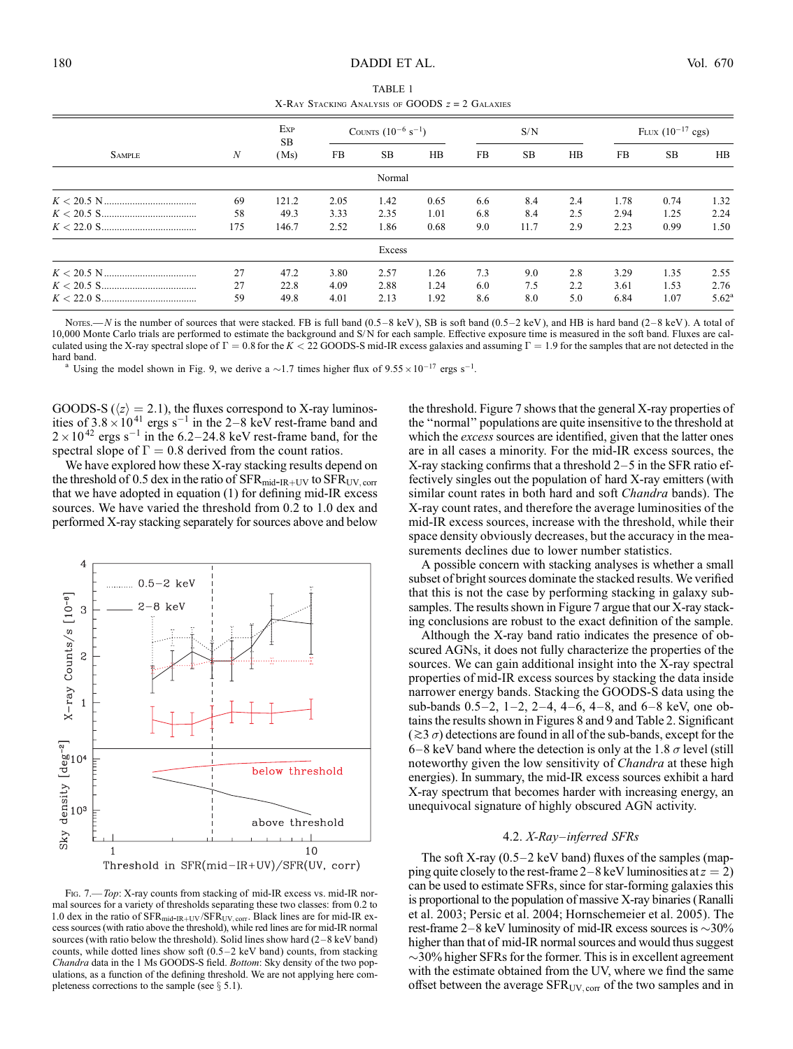| TABLE 1                                           |  |  |  |  |  |  |
|---------------------------------------------------|--|--|--|--|--|--|
| X-RAY STACKING ANALYSIS OF GOODS $z = 2$ GALAXIES |  |  |  |  |  |  |

|               | $\boldsymbol{N}$ | Exp<br>SB.<br>(Ms) | COUNTS $(10^{-6} \text{ s}^{-1})$ |        |      | S/N |           |     | FLUX $(10^{-17} \text{ cgs})$ |           |                |
|---------------|------------------|--------------------|-----------------------------------|--------|------|-----|-----------|-----|-------------------------------|-----------|----------------|
| <b>SAMPLE</b> |                  |                    | FB.                               | SB.    | HB   | FB. | <b>SB</b> | HB  | FB                            | <b>SB</b> | HB             |
|               |                  |                    |                                   | Normal |      |     |           |     |                               |           |                |
|               | 69               | 121.2              | 2.05                              | 1.42   | 0.65 | 6.6 | 8.4       | 2.4 | 1.78                          | 0.74      | 1.32           |
|               | 58               | 49.3               | 3.33                              | 2.35   | 1.01 | 6.8 | 8.4       | 2.5 | 2.94                          | 1.25      | 2.24           |
|               | 175              | 146.7              | 2.52                              | 1.86   | 0.68 | 9.0 | 11.7      | 2.9 | 2.23                          | 0.99      | 1.50           |
|               |                  |                    |                                   | Excess |      |     |           |     |                               |           |                |
|               | 27               | 47.2               | 3.80                              | 2.57   | 1.26 | 7.3 | 9.0       | 2.8 | 3.29                          | 1.35      | 2.55           |
|               | 27               | 22.8               | 4.09                              | 2.88   | 1.24 | 6.0 | 7.5       | 2.2 | 3.61                          | 1.53      | 2.76           |
|               | 59               | 49.8               | 4.01                              | 2.13   | 1.92 | 8.6 | 8.0       | 5.0 | 6.84                          | 1.07      | $5.62^{\rm a}$ |

NOTES.—N is the number of sources that were stacked. FB is full band (0.5-8 keV), SB is soft band (0.5-2 keV), and HB is hard band (2-8 keV). A total of 10,000 Monte Carlo trials are performed to estimate the background and S/ N for each sample. Effective exposure time is measured in the soft band. Fluxes are calculated using the X-ray spectral slope of  $\Gamma = 0.8$  for the K < 22 GOODS-S mid-IR excess galaxies and assuming  $\Gamma = 1.9$  for the samples that are not detected in the hard band.

hard band.<br><sup>a</sup> Using the model shown in Fig. 9, we derive a  $\sim$ 1.7 times higher flux of  $9.55 \times 10^{-17}$  ergs s<sup>-1</sup>.

GOODS-S ( $\langle z \rangle = 2.1$ ), the fluxes correspond to X-ray luminosities of  $3.8 \times 10^{41}$  ergs s<sup>-1</sup> in the 2-8 keV rest-frame band and  $2 \times 10^{42}$  ergs s<sup>-1</sup> in the 6.2-24.8 keV rest-frame band, for the spectral slope of  $\Gamma = 0.8$  derived from the count ratios.

We have explored how these X-ray stacking results depend on the threshold of 0.5 dex in the ratio of  $SFR_{mid-IR+UV}$  to  $SFR_{UV,corr}$ that we have adopted in equation (1) for defining mid-IR excess sources. We have varied the threshold from 0.2 to 1.0 dex and performed X-ray stacking separately for sources above and below



Fig. 7.—Top: X-ray counts from stacking of mid-IR excess vs. mid-IR normal sources for a variety of thresholds separating these two classes: from 0.2 to 1.0 dex in the ratio of  $SFR_{mid-IR+UV}/SFR_{UV,corr}$ . Black lines are for mid-IR excess sources (with ratio above the threshold), while red lines are for mid-IR normal sources (with ratio below the threshold). Solid lines show hard  $(2-8 \text{ keV band})$ counts, while dotted lines show soft  $(0.5-2 \text{ keV band})$  counts, from stacking Chandra data in the 1 Ms GOODS-S field. Bottom: Sky density of the two populations, as a function of the defining threshold. We are not applying here completeness corrections to the sample (see  $\S$  5.1).

the threshold. Figure 7 shows that the general X-ray properties of the ''normal'' populations are quite insensitive to the threshold at which the excess sources are identified, given that the latter ones are in all cases a minority. For the mid-IR excess sources, the X-ray stacking confirms that a threshold  $2-5$  in the SFR ratio effectively singles out the population of hard X-ray emitters (with similar count rates in both hard and soft *Chandra* bands). The X-ray count rates, and therefore the average luminosities of the mid-IR excess sources, increase with the threshold, while their space density obviously decreases, but the accuracy in the measurements declines due to lower number statistics.

A possible concern with stacking analyses is whether a small subset of bright sources dominate the stacked results. We verified that this is not the case by performing stacking in galaxy subsamples. The results shown in Figure 7 argue that our X-ray stacking conclusions are robust to the exact definition of the sample.

Although the X-ray band ratio indicates the presence of obscured AGNs, it does not fully characterize the properties of the sources. We can gain additional insight into the X-ray spectral properties of mid-IR excess sources by stacking the data inside narrower energy bands. Stacking the GOODS-S data using the sub-bands  $0.5-2$ ,  $1-2$ ,  $2-4$ ,  $4-6$ ,  $4-8$ , and  $6-8$  keV, one obtains the results shown in Figures 8 and 9 and Table 2. Significant  $(\geq 3 \sigma)$  detections are found in all of the sub-bands, except for the  $6-8$  keV band where the detection is only at the 1.8  $\sigma$  level (still noteworthy given the low sensitivity of *Chandra* at these high energies). In summary, the mid-IR excess sources exhibit a hard X-ray spectrum that becomes harder with increasing energy, an unequivocal signature of highly obscured AGN activity.

# 4.2. X-Ray-inferred SFRs

The soft X-ray  $(0.5-2 \text{ keV band})$  fluxes of the samples (mapping quite closely to the rest-frame  $2-8$  keV luminosities at  $z = 2$ ) can be used to estimate SFRs, since for star-forming galaxies this is proportional to the population of massive X-ray binaries (Ranalli et al. 2003; Persic et al. 2004; Hornschemeier et al. 2005). The rest-frame 2-8 keV luminosity of mid-IR excess sources is  $\sim$ 30% higher than that of mid-IR normal sources and would thus suggest  $\sim$ 30% higher SFRs for the former. This is in excellent agreement with the estimate obtained from the UV, where we find the same offset between the average  $SFR_{UV,corr}$  of the two samples and in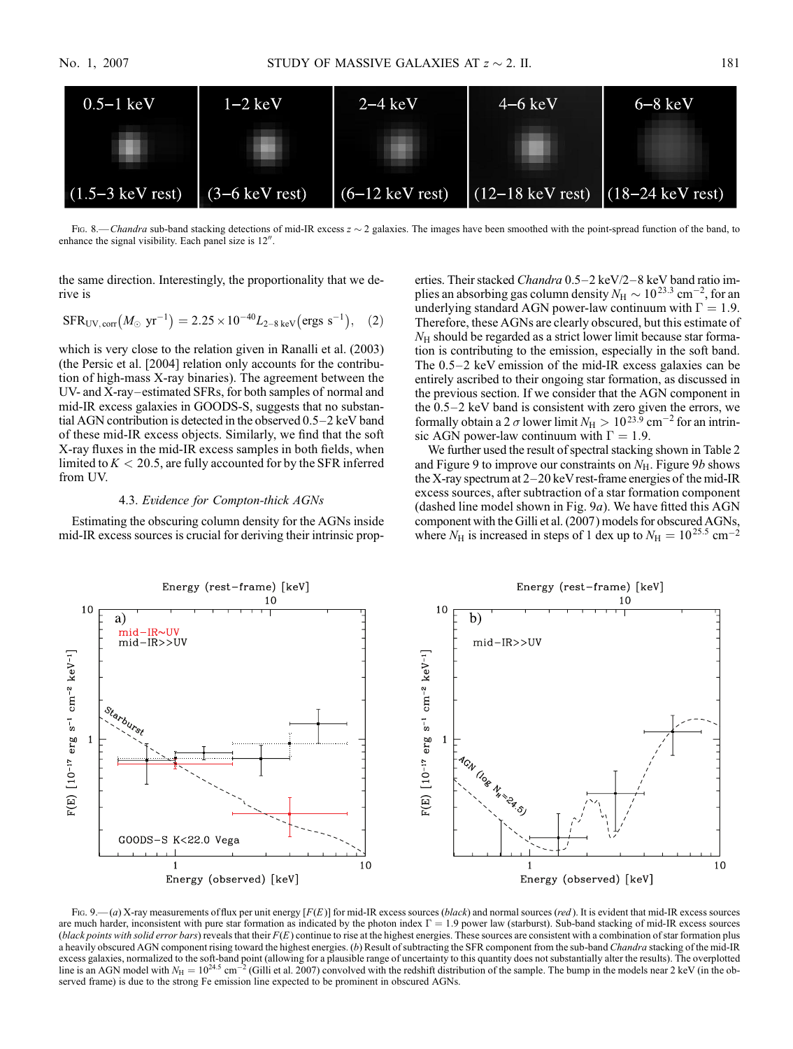

Fig. 8.—Chandra sub-band stacking detections of mid-IR excess  $z \sim 2$  galaxies. The images have been smoothed with the point-spread function of the band, to enhance the signal visibility. Each panel size is  $12$ <sup>"</sup>.

the same direction. Interestingly, the proportionality that we derive is

$$
SFR_{UV,corr}(M_\odot ~yr^{-1}) = 2.25 \times 10^{-40} L_{2-8~keV} (ergs~s^{-1}),~~(2)
$$

which is very close to the relation given in Ranalli et al. (2003) (the Persic et al. [2004] relation only accounts for the contribution of high-mass X-ray binaries). The agreement between the UV- and X-ray-estimated SFRs, for both samples of normal and mid-IR excess galaxies in GOODS-S, suggests that no substantial AGN contribution is detected in the observed  $0.5-2$  keV band of these mid-IR excess objects. Similarly, we find that the soft X-ray fluxes in the mid-IR excess samples in both fields, when limited to  $K < 20.5$ , are fully accounted for by the SFR inferred from UV.

## 4.3. Evidence for Compton-thick AGNs

Estimating the obscuring column density for the AGNs inside mid-IR excess sources is crucial for deriving their intrinsic prop-

erties. Their stacked Chandra 0.5-2 keV/2-8 keV band ratio implies an absorbing gas column density  $N_{\rm H} \sim 10^{23.3}$  cm $^{-2}$ , for an underlying standard AGN power-law continuum with  $\Gamma = 1.9$ . Therefore, these AGNs are clearly obscured, but this estimate of  $N<sub>H</sub>$  should be regarded as a strict lower limit because star formation is contributing to the emission, especially in the soft band. The  $0.5-2$  keV emission of the mid-IR excess galaxies can be entirely ascribed to their ongoing star formation, as discussed in the previous section. If we consider that the AGN component in the  $0.5-2$  keV band is consistent with zero given the errors, we formally obtain a 2  $\sigma$  lower limit  $N_{\rm H} > 10^{23.9}$  cm<sup>-2</sup> for an intrinsic AGN power-law continuum with  $\Gamma = 1.9$ .

We further used the result of spectral stacking shown in Table 2 and Figure 9 to improve our constraints on  $N_{\rm H}$ . Figure 9b shows the X-ray spectrum at  $2-20$  keV rest-frame energies of the mid-IR excess sources, after subtraction of a star formation component (dashed line model shown in Fig.  $9a$ ). We have fitted this AGN component with the Gilli et al. (2007) models for obscured AGNs, where  $N_{\rm H}$  is increased in steps of 1 dex up to  $N_{\rm H} = 10^{25.5}$  cm<sup>-2</sup>



Fig. 9.—(a) X-ray measurements of flux per unit energy  $[F(E)]$  for mid-IR excess sources (black) and normal sources (red). It is evident that mid-IR excess sources are much harder, inconsistent with pure star formation as indicated by the photon index  $\Gamma = 1.9$  power law (starburst). Sub-band stacking of mid-IR excess sources (black points with solid error bars) reveals that their  $F(E)$  continue to rise at the highest energies. These sources are consistent with a combination of star formation plus a heavily obscured AGN component rising toward the highest energies. (b) Result of subtracting the SFR component from the sub-band Chandra stacking of the mid-IR excess galaxies, normalized to the soft-band point (allowing for a plausible range of uncertainty to this quantity does not substantially alter the results). The overplotted line is an AGN model with  $N_H = 10^{24.5}$  cm<sup>-2</sup> (Gilli et al. 2007) convolved with the redshift distribution of the sample. The bump in the models near 2 keV (in the observed frame) is due to the strong Fe emission line expected to be prominent in obscured AGNs.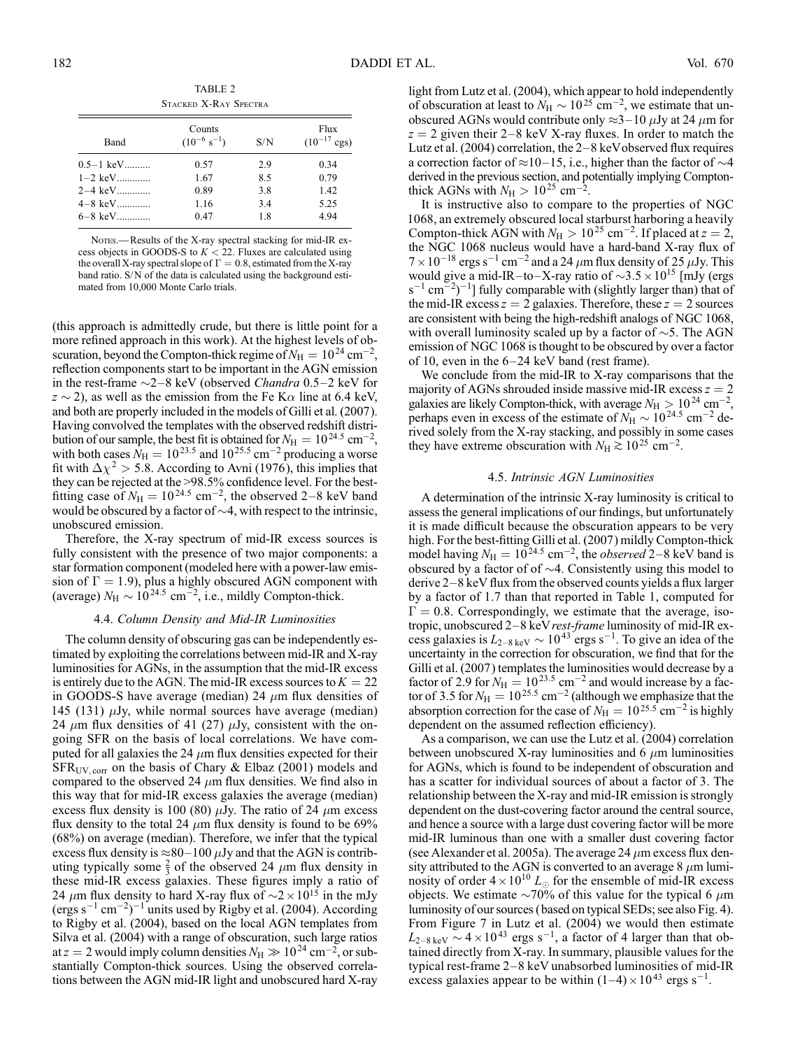| STACKED X-RAY SPECTRA |                                      |     |                                  |  |  |  |  |  |
|-----------------------|--------------------------------------|-----|----------------------------------|--|--|--|--|--|
| Band                  | Counts<br>$(10^{-6} \text{ s}^{-1})$ | S/N | Flux<br>$(10^{-17} \text{ cgs})$ |  |  |  |  |  |
| $0.5-1~\text{keV}$    | 0.57                                 | 2.9 | 0.34                             |  |  |  |  |  |
| $1-2$ keV             | 1.67                                 | 8.5 | 0.79                             |  |  |  |  |  |
| 2–4 keV               | 0.89                                 | 3.8 | 1.42                             |  |  |  |  |  |
| $4-8~{\rm keV}$       | 1.16                                 | 3.4 | 5.25                             |  |  |  |  |  |
| $6-8$ keV             | 0.47                                 | 1.8 | 4.94                             |  |  |  |  |  |

NOTES.-Results of the X-ray spectral stacking for mid-IR excess objects in GOODS-S to  $K < 22$ . Fluxes are calculated using the overall X-ray spectral slope of  $\Gamma = 0.8$ , estimated from the X-ray band ratio. S/N of the data is calculated using the background estimated from 10,000 Monte Carlo trials.

(this approach is admittedly crude, but there is little point for a more refined approach in this work). At the highest levels of obscuration, beyond the Compton-thick regime of  $N_{\rm H} = 10^{24}$  cm<sup>-2</sup>, reflection components start to be important in the AGN emission in the rest-frame  $\sim$ 2-8 keV (observed *Chandra* 0.5-2 keV for  $z \sim 2$ ), as well as the emission from the Fe K $\alpha$  line at 6.4 keV, and both are properly included in the models of Gilli et al. (2007). Having convolved the templates with the observed redshift distribution of our sample, the best fit is obtained for  $N_{\rm H} = 10^{24.5}$  cm<sup>-2</sup>, with both cases  $N_{\rm H} = 10^{23.5}$  and  $10^{25.5}$  cm<sup>-2</sup> producing a worse fit with  $\Delta \chi^2 > 5.8$ . According to Avni (1976), this implies that they can be rejected at the >98.5% confidence level. For the bestfitting case of  $N_H = 10^{24.5}$  cm<sup>-2</sup>, the observed 2-8 keV band would be obscured by a factor of  $\sim$ 4, with respect to the intrinsic, unobscured emission.

Therefore, the X-ray spectrum of mid-IR excess sources is fully consistent with the presence of two major components: a star formation component (modeled here with a power-law emission of  $\Gamma = 1.9$ ), plus a highly obscured AGN component with (average)  $N_H \sim 10^{24.5}$  cm<sup>-2</sup>, i.e., mildly Compton-thick.

## 4.4. Column Density and Mid-IR Luminosities

The column density of obscuring gas can be independently estimated by exploiting the correlations between mid-IR and X-ray luminosities for AGNs, in the assumption that the mid-IR excess is entirely due to the AGN. The mid-IR excess sources to  $K = 22$ in GOODS-S have average (median) 24  $\mu$ m flux densities of 145 (131)  $\mu$ Jy, while normal sources have average (median) 24  $\mu$ m flux densities of 41 (27)  $\mu$ Jy, consistent with the ongoing SFR on the basis of local correlations. We have computed for all galaxies the 24  $\mu$ m flux densities expected for their  $SFR_{UV,corr}$  on the basis of Chary & Elbaz (2001) models and compared to the observed 24  $\mu$ m flux densities. We find also in this way that for mid-IR excess galaxies the average (median) excess flux density is 100 (80)  $\mu$ Jy. The ratio of 24  $\mu$ m excess flux density to the total 24  $\mu$ m flux density is found to be 69% (68%) on average (median). Therefore, we infer that the typical excess flux density is  $\approx 80-100 \,\mu$ Jy and that the AGN is contributing typically some  $\frac{2}{3}$  of the observed 24  $\mu$ m flux density in these mid-IR excess galaxies. These figures imply a ratio of 24  $\mu$ m flux density to hard X-ray flux of  $\sim$ 2  $\times$  10<sup>15</sup> in the mJy  $(\text{ergs s}^{-1} \text{ cm}^{-2})^{-1}$  units used by Rigby et al. (2004). According to Rigby et al. (2004), based on the local AGN templates from Silva et al. (2004) with a range of obscuration, such large ratios at  $z = 2$  would imply column densities  $N_{\rm H} \gg 10^{24}$  cm<sup>-2</sup>, or substantially Compton-thick sources. Using the observed correlations between the AGN mid-IR light and unobscured hard X-ray

light from Lutz et al. (2004), which appear to hold independently of obscuration at least to  $N_H \sim 10^{25}$  cm<sup>-2</sup>, we estimate that unobscured AGNs would contribute only  $\approx$ 3-10  $\mu$ Jy at 24  $\mu$ m for  $z = 2$  given their 2–8 keV X-ray fluxes. In order to match the Lutz et al. (2004) correlation, the  $2-8$  keV observed flux requires a correction factor of  $\approx$ 10-15, i.e., higher than the factor of  $\sim$ 4 derived in the previous section, and potentially implying Comptonthick AGNs with  $N_{\rm H} > 10^{25}$  cm<sup>-2</sup>.

It is instructive also to compare to the properties of NGC 1068, an extremely obscured local starburst harboring a heavily Compton-thick AGN with  $N_{\rm H} > 10^{25}$  cm<sup>-2</sup>. If placed at  $z = 2$ , the NGC 1068 nucleus would have a hard-band X-ray flux of  $7 \times 10^{-18}$  ergs s<sup>-1</sup> cm<sup>-2</sup> and a 24  $\mu$ m flux density of 25  $\mu$ Jy. This would give a mid-IR-to-X-ray ratio of  $\sim$ 3.5  $\times$  10<sup>15</sup> [mJy (ergs  $(s^{-1}$  cm<sup>-2</sup> $)^{-1}$ ] fully comparable with (slightly larger than) that of the mid-IR excess  $z = 2$  galaxies. Therefore, these  $z = 2$  sources are consistent with being the high-redshift analogs of NGC 1068, with overall luminosity scaled up by a factor of  $\sim$ 5. The AGN emission of NGC 1068 is thought to be obscured by over a factor of 10, even in the  $6-24$  keV band (rest frame).

We conclude from the mid-IR to X-ray comparisons that the majority of AGNs shrouded inside massive mid-IR excess  $z = 2$ galaxies are likely Compton-thick, with average  $N_{\rm H} > 10^{24}$  cm<sup>-2</sup>, perhaps even in excess of the estimate of  $N_H \sim 10^{24.5}$  cm<sup>-2</sup> derived solely from the X-ray stacking, and possibly in some cases they have extreme obscuration with  $N_H \gtrsim 10^{25}$  cm<sup>-2</sup>.

## 4.5. Intrinsic AGN Luminosities

A determination of the intrinsic X-ray luminosity is critical to assess the general implications of our findings, but unfortunately it is made difficult because the obscuration appears to be very high. For the best-fitting Gilli et al. (2007) mildly Compton-thick model having  $N_{\rm H} = 10^{24.5}$  cm<sup>-2</sup>, the *observed* 2-8 keV band is obscured by a factor of of  $\sim$ 4. Consistently using this model to derive  $2-8$  keV flux from the observed counts yields a flux larger by a factor of 1.7 than that reported in Table 1, computed for  $\Gamma = 0.8$ . Correspondingly, we estimate that the average, isotropic, unobscured  $2-8$  keV *rest-frame* luminosity of mid-IR excess galaxies is  $L_{2-8 \text{ keV}} \sim 10^{43} \text{ ergs s}^{-1}$ . To give an idea of the uncertainty in the correction for obscuration, we find that for the Gilli et al. (2007) templates the luminosities would decrease by a factor of 2.9 for  $N_{\rm H} = 10^{23.5}$  cm<sup>-2</sup> and would increase by a factor of 3.5 for  $N_{\rm H} = 10^{25.5}$  cm<sup>-2</sup> (although we emphasize that the absorption correction for the case of  $N_{\rm H} = 10^{25.5}$  cm<sup>-2</sup> is highly dependent on the assumed reflection efficiency).

As a comparison, we can use the Lutz et al. (2004) correlation between unobscured X-ray luminosities and 6  $\mu$ m luminosities for AGNs, which is found to be independent of obscuration and has a scatter for individual sources of about a factor of 3. The relationship between the X-ray and mid-IR emission is strongly dependent on the dust-covering factor around the central source, and hence a source with a large dust covering factor will be more mid-IR luminous than one with a smaller dust covering factor (see Alexander et al. 2005a). The average 24  $\mu$ m excess flux density attributed to the AGN is converted to an average  $8 \mu m$  luminosity of order  $4 \times 10^{10} L_{\odot}$  for the ensemble of mid-IR excess objects. We estimate  $\sim$ 70% of this value for the typical 6  $\mu$ m luminosity of our sources (based on typical SEDs; see also Fig. 4). From Figure 7 in Lutz et al. (2004) we would then estimate  $L_{2-8 \text{ keV}} \sim 4 \times 10^{43} \text{ ergs s}^{-1}$ , a factor of 4 larger than that obtained directly from X-ray. In summary, plausible values for the typical rest-frame  $2-8$  keV unabsorbed luminosities of mid-IR excess galaxies appear to be within  $(1-4) \times 10^{43}$  ergs s<sup>-1</sup>.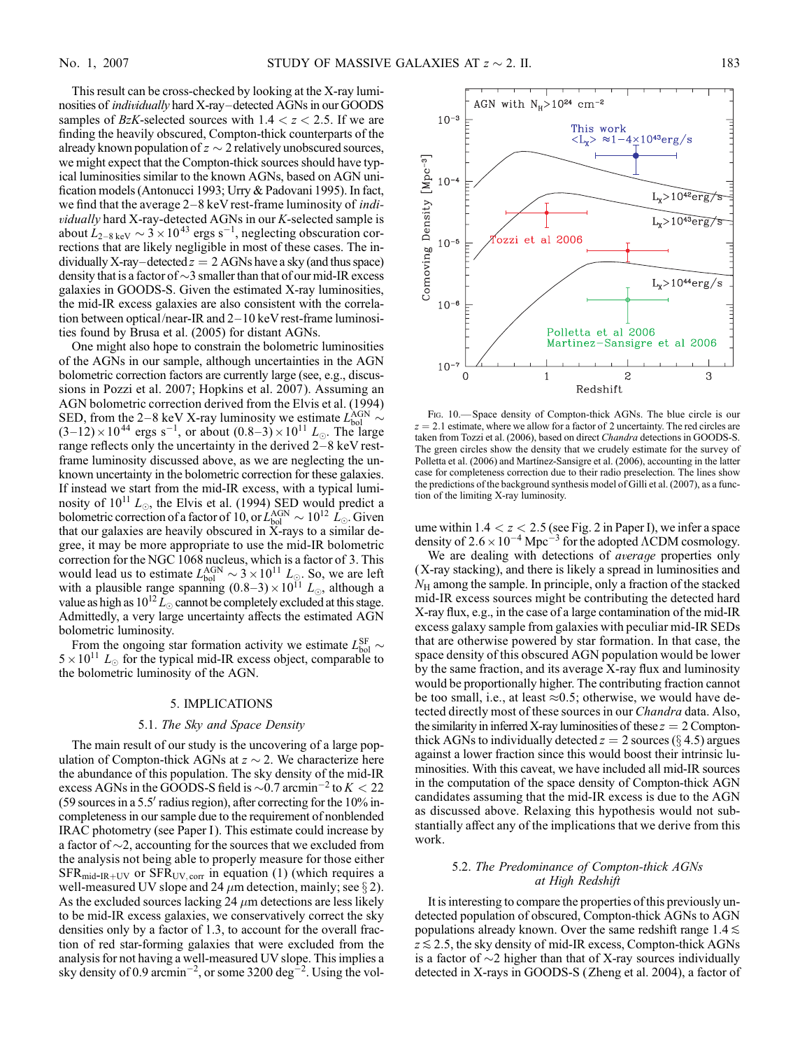This result can be cross-checked by looking at the X-ray luminosities of *individually* hard X-ray-detected AGNs in our GOODS samples of BzK-selected sources with  $1.4 < z < 2.5$ . If we are finding the heavily obscured, Compton-thick counterparts of the already known population of  $z \sim 2$  relatively unobscured sources, we might expect that the Compton-thick sources should have typical luminosities similar to the known AGNs, based on AGN unification models (Antonucci 1993; Urry & Padovani 1995). In fact, we find that the average  $2-8$  keV rest-frame luminosity of *indi*vidually hard X-ray-detected AGNs in our K-selected sample is about  $\dot{L}_{2-8 \text{ keV}} \sim 3 \times 10^{43} \text{ ergs s}^{-1}$ , neglecting obscuration corrections that are likely negligible in most of these cases. The individually X-ray-detected  $z = 2$  AGNs have a sky (and thus space) density that is a factor of  $\sim$ 3 smaller than that of our mid-IR excess galaxies in GOODS-S. Given the estimated X-ray luminosities, the mid-IR excess galaxies are also consistent with the correlation between optical/near-IR and  $2-10$  keV rest-frame luminosities found by Brusa et al. (2005) for distant AGNs.

One might also hope to constrain the bolometric luminosities of the AGNs in our sample, although uncertainties in the AGN bolometric correction factors are currently large (see, e.g., discussions in Pozzi et al. 2007; Hopkins et al. 2007). Assuming an AGN bolometric correction derived from the Elvis et al. (1994) SED, from the 2–8 keV X-ray luminosity we estimate  $L_{bol}^{AGN} \sim$  $(3-12) \times 10^{44}$  ergs s<sup>-1</sup>, or about  $(0.8-3) \times 10^{11}$   $L_{\odot}$ . The large range reflects only the uncertainty in the derived  $2-8$  keV restframe luminosity discussed above, as we are neglecting the unknown uncertainty in the bolometric correction for these galaxies. If instead we start from the mid-IR excess, with a typical luminosity of  $10^{11} L_{\odot}$ , the Elvis et al. (1994) SED would predict a bolometric correction of a factor of 10, or  $L_{\rm bol}^{\rm AGN} \sim 10^{12}~L_{\odot}$ . Given that our galaxies are heavily obscured in X-rays to a similar degree, it may be more appropriate to use the mid-IR bolometric correction for the NGC 1068 nucleus, which is a factor of 3. This would lead us to estimate  $L_{bol}^{\text{AGN}} \sim 3 \times 10^{11} L_{\odot}$ . So, we are left with a plausible range spanning  $(0.8-3) \times 10^{11} L_{\odot}$ , although a value as high as  $10^{12} L_{\odot}$  cannot be completely excluded at this stage. Admittedly, a very large uncertainty affects the estimated AGN bolometric luminosity.

From the ongoing star formation activity we estimate  $L_{bol}^{SF} \sim$  $5 \times 10^{11}$  L<sub>o</sub> for the typical mid-IR excess object, comparable to the bolometric luminosity of the AGN.

### 5. IMPLICATIONS

### 5.1. The Sky and Space Density

The main result of our study is the uncovering of a large population of Compton-thick AGNs at  $z \sim 2$ . We characterize here the abundance of this population. The sky density of the mid-IR excess AGNs in the GOODS-S field is  $\sim 0.7$  arcmin<sup>-2</sup> to  $K < 22$ (59 sources in a 5.5' radius region), after correcting for the  $10\%$  incompleteness in our sample due to the requirement of nonblended IRAC photometry (see Paper I). This estimate could increase by a factor of  $\sim$ 2, accounting for the sources that we excluded from the analysis not being able to properly measure for those either  $SFR_{mid-IR+UV}$  or  $SFR_{UV,corr}$  in equation (1) (which requires a well-measured UV slope and 24  $\mu$ m detection, mainly; see § 2). As the excluded sources lacking 24  $\mu$ m detections are less likely to be mid-IR excess galaxies, we conservatively correct the sky densities only by a factor of 1.3, to account for the overall fraction of red star-forming galaxies that were excluded from the analysis for not having a well-measured UV slope. This implies a sky density of 0.9 arcmin<sup>-2</sup>, or some 3200 deg<sup>-2</sup>. Using the vol-



Fig. 10.— Space density of Compton-thick AGNs. The blue circle is our  $z = 2.1$  estimate, where we allow for a factor of 2 uncertainty. The red circles are taken from Tozzi et al. (2006), based on direct Chandra detections in GOODS-S. The green circles show the density that we crudely estimate for the survey of Polletta et al. (2006) and Martínez-Sansigre et al. (2006), accounting in the latter case for completeness correction due to their radio preselection. The lines show the predictions of the background synthesis model of Gilli et al. (2007), as a function of the limiting X-ray luminosity.

ume within  $1.4 < z < 2.5$  (see Fig. 2 in Paper I), we infer a space density of  $2.6 \times 10^{-4}$  Mpc<sup>-3</sup> for the adopted  $\Lambda$ CDM cosmology.

We are dealing with detections of *average* properties only (X-ray stacking), and there is likely a spread in luminosities and  $N<sub>H</sub>$  among the sample. In principle, only a fraction of the stacked mid-IR excess sources might be contributing the detected hard X-ray flux, e.g., in the case of a large contamination of the mid-IR excess galaxy sample from galaxies with peculiar mid-IR SEDs that are otherwise powered by star formation. In that case, the space density of this obscured AGN population would be lower by the same fraction, and its average X-ray flux and luminosity would be proportionally higher. The contributing fraction cannot be too small, i.e., at least  $\approx 0.5$ ; otherwise, we would have detected directly most of these sources in our *Chandra* data. Also, the similarity in inferred X-ray luminosities of these  $z = 2$  Comptonthick AGNs to individually detected  $z = 2$  sources ( $\S 4.5$ ) argues against a lower fraction since this would boost their intrinsic luminosities. With this caveat, we have included all mid-IR sources in the computation of the space density of Compton-thick AGN candidates assuming that the mid-IR excess is due to the AGN as discussed above. Relaxing this hypothesis would not substantially affect any of the implications that we derive from this work.

## 5.2. The Predominance of Compton-thick AGNs at High Redshift

It is interesting to compare the properties of this previously undetected population of obscured, Compton-thick AGNs to AGN populations already known. Over the same redshift range  $1.4 \le$  $z \lesssim$  2.5, the sky density of mid-IR excess, Compton-thick AGNs is a factor of  $\sim$ 2 higher than that of X-ray sources individually detected in X-rays in GOODS-S (Zheng et al. 2004), a factor of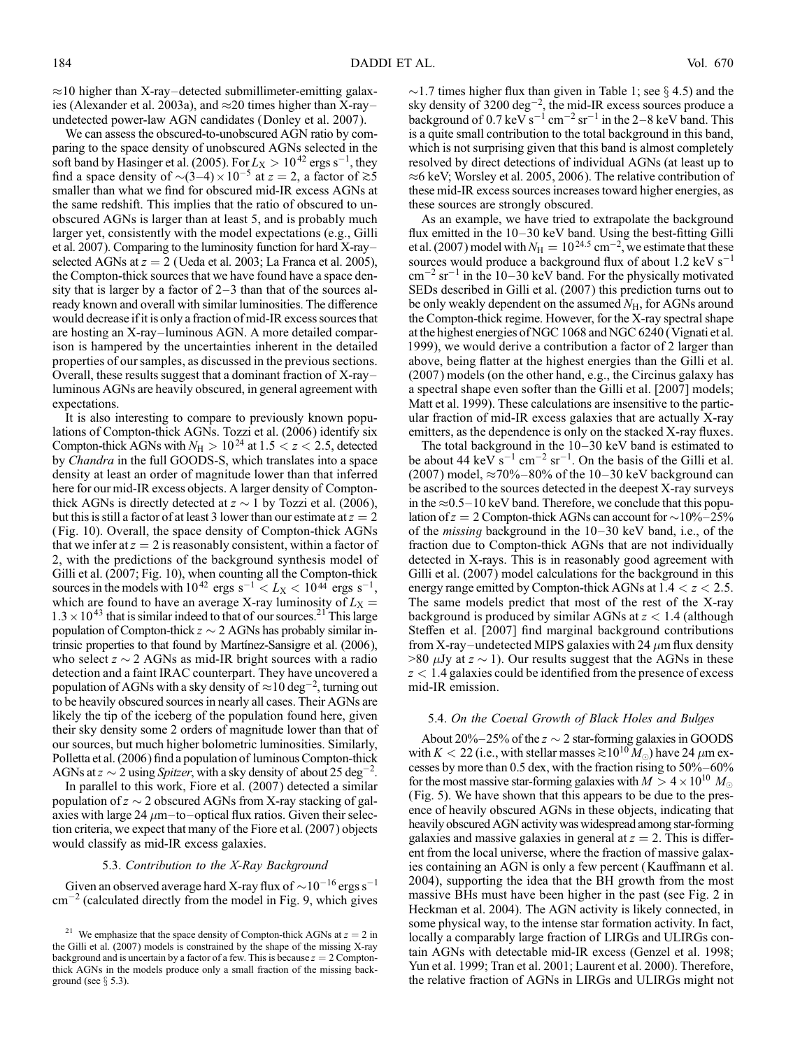$\approx$ 10 higher than X-ray-detected submillimeter-emitting galaxies (Alexander et al. 2003a), and  $\approx$  20 times higher than X-rayundetected power-law AGN candidates (Donley et al. 2007).

We can assess the obscured-to-unobscured AGN ratio by comparing to the space density of unobscured AGNs selected in the soft band by Hasinger et al. (2005). For  $L_X > 10^{42}$  ergs s<sup>-1</sup>, they find a space density of  $\sim (3-4) \times 10^{-5}$  at  $z = 2$ , a factor of  $\gtrsim 5$ smaller than what we find for obscured mid-IR excess AGNs at the same redshift. This implies that the ratio of obscured to unobscured AGNs is larger than at least 5, and is probably much larger yet, consistently with the model expectations (e.g., Gilli et al. 2007). Comparing to the luminosity function for hard  $X$ -rayselected AGNs at  $z = 2$  (Ueda et al. 2003; La Franca et al. 2005), the Compton-thick sources that we have found have a space density that is larger by a factor of  $2-3$  than that of the sources already known and overall with similar luminosities. The difference would decrease if it is only a fraction of mid-IR excess sources that are hosting an X-ray-luminous AGN. A more detailed comparison is hampered by the uncertainties inherent in the detailed properties of our samples, as discussed in the previous sections. Overall, these results suggest that a dominant fraction of  $X$ -rayluminous AGNs are heavily obscured, in general agreement with expectations.

It is also interesting to compare to previously known populations of Compton-thick AGNs. Tozzi et al. (2006) identify six Compton-thick AGNs with  $N_H > 10^{24}$  at  $1.5 < z < 2.5$ , detected by *Chandra* in the full GOODS-S, which translates into a space density at least an order of magnitude lower than that inferred here for our mid-IR excess objects. A larger density of Comptonthick AGNs is directly detected at  $z \sim 1$  by Tozzi et al. (2006), but this is still a factor of at least 3 lower than our estimate at  $z = 2$ (Fig. 10). Overall, the space density of Compton-thick AGNs that we infer at  $z = 2$  is reasonably consistent, within a factor of 2, with the predictions of the background synthesis model of Gilli et al. (2007; Fig. 10), when counting all the Compton-thick sources in the models with  $10^{42}$  ergs s<sup>-1</sup>  $\lt L_X$   $\lt 10^{44}$  ergs s<sup>-1</sup>, which are found to have an average X-ray luminosity of  $L_X =$  $1.3 \times 10^{43}$  that is similar indeed to that of our sources.<sup>21</sup> This large population of Compton-thick  $z \sim 2$  AGNs has probably similar intrinsic properties to that found by Martínez-Sansigre et al. (2006), who select  $z \sim 2$  AGNs as mid-IR bright sources with a radio detection and a faint IRAC counterpart. They have uncovered a population of AGNs with a sky density of  $\approx$  10 deg<sup>-2</sup>, turning out to be heavily obscured sources in nearly all cases. Their AGNs are likely the tip of the iceberg of the population found here, given their sky density some 2 orders of magnitude lower than that of our sources, but much higher bolometric luminosities. Similarly, Polletta et al. (2006) find a population of luminous Compton-thick AGNs at  $z \sim 2$  using *Spitzer*, with a sky density of about 25 deg<sup>-2</sup>.

In parallel to this work, Fiore et al. (2007) detected a similar population of  $z \sim 2$  obscured AGNs from X-ray stacking of galaxies with large 24  $\mu$ m-to-optical flux ratios. Given their selection criteria, we expect that many of the Fiore et al. (2007) objects would classify as mid-IR excess galaxies.

### 5.3. Contribution to the X-Ray Background

Given an observed average hard X-ray flux of  $\sim$  10<sup>-16</sup> ergs s<sup>-1</sup>  $\text{cm}^{-2}$  (calculated directly from the model in Fig. 9, which gives

 $\sim$ 1.7 times higher flux than given in Table 1; see § 4.5) and the sky density of  $3200 \text{ deg}^{-2}$ , the mid-IR excess sources produce a background of  $0.7 \,\text{keV} \,\text{s}^{-1} \,\text{cm}^{-2} \,\text{sr}^{-1}$  in the 2–8 keV band. This is a quite small contribution to the total background in this band, which is not surprising given that this band is almost completely resolved by direct detections of individual AGNs (at least up to  $\approx$ 6 keV; Worsley et al. 2005, 2006). The relative contribution of these mid-IR excess sources increases toward higher energies, as these sources are strongly obscured.

As an example, we have tried to extrapolate the background flux emitted in the  $10-30$  keV band. Using the best-fitting Gilli et al. (2007) model with  $N_{\rm H} = 10^{24.5} \,\rm cm^{-2}$ , we estimate that these sources would produce a background flux of about  $1.2 \text{ keV s}^{-1}$  $\text{cm}^{-2} \text{ sr}^{-1}$  in the 10–30 keV band. For the physically motivated SEDs described in Gilli et al. (2007) this prediction turns out to be only weakly dependent on the assumed  $N_{\rm H}$ , for AGNs around the Compton-thick regime. However, for the X-ray spectral shape at the highest energies of NGC 1068 and NGC 6240 (Vignati et al. 1999), we would derive a contribution a factor of 2 larger than above, being flatter at the highest energies than the Gilli et al. (2007) models (on the other hand, e.g., the Circinus galaxy has a spectral shape even softer than the Gilli et al. [2007] models; Matt et al. 1999). These calculations are insensitive to the particular fraction of mid-IR excess galaxies that are actually X-ray emitters, as the dependence is only on the stacked X-ray fluxes.

The total background in the  $10-30$  keV band is estimated to be about 44 keV  $s^{-1}$  cm<sup>-2</sup> sr<sup>-1</sup>. On the basis of the Gilli et al. (2007) model,  $\approx 70\% - 80\%$  of the 10-30 keV background can be ascribed to the sources detected in the deepest X-ray surveys in the  $\approx 0.5-10$  keV band. Therefore, we conclude that this population of  $z = 2$  Compton-thick AGNs can account for  $\sim 10\% - 25\%$ of the *missing* background in the  $10-30$  keV band, i.e., of the fraction due to Compton-thick AGNs that are not individually detected in X-rays. This is in reasonably good agreement with Gilli et al. (2007) model calculations for the background in this energy range emitted by Compton-thick AGNs at  $1.4 < z < 2.5$ . The same models predict that most of the rest of the X-ray background is produced by similar AGNs at  $z < 1.4$  (although Steffen et al. [2007] find marginal background contributions from X-ray-undetected MIPS galaxies with 24  $\mu$ m flux density  $>80 \mu$ Jy at  $z \sim 1$ ). Our results suggest that the AGNs in these  $z < 1.4$  galaxies could be identified from the presence of excess mid-IR emission.

#### 5.4. On the Coeval Growth of Black Holes and Bulges

About 20% $-25$ % of the  $z \sim 2$  star-forming galaxies in GOODS with  $K < 22$  (i.e., with stellar masses  $\gtrsim 10^{10} M_{\odot}$ ) have 24  $\mu$ m excesses by more than 0.5 dex, with the fraction rising to  $50\% - 60\%$ for the most massive star-forming galaxies with  $M > 4 \times 10^{10} M_{\odot}$ (Fig. 5). We have shown that this appears to be due to the presence of heavily obscured AGNs in these objects, indicating that heavily obscured AGN activity was widespread among star-forming galaxies and massive galaxies in general at  $z = 2$ . This is different from the local universe, where the fraction of massive galaxies containing an AGN is only a few percent (Kauffmann et al. 2004), supporting the idea that the BH growth from the most massive BHs must have been higher in the past (see Fig. 2 in Heckman et al. 2004). The AGN activity is likely connected, in some physical way, to the intense star formation activity. In fact, locally a comparably large fraction of LIRGs and ULIRGs contain AGNs with detectable mid-IR excess (Genzel et al. 1998; Yun et al. 1999; Tran et al. 2001; Laurent et al. 2000). Therefore, the relative fraction of AGNs in LIRGs and ULIRGs might not

<sup>&</sup>lt;sup>21</sup> We emphasize that the space density of Compton-thick AGNs at  $z = 2$  in the Gilli et al. (2007) models is constrained by the shape of the missing X-ray background and is uncertain by a factor of a few. This is because  $z = 2$  Comptonthick AGNs in the models produce only a small fraction of the missing background (see  $\S$  5.3).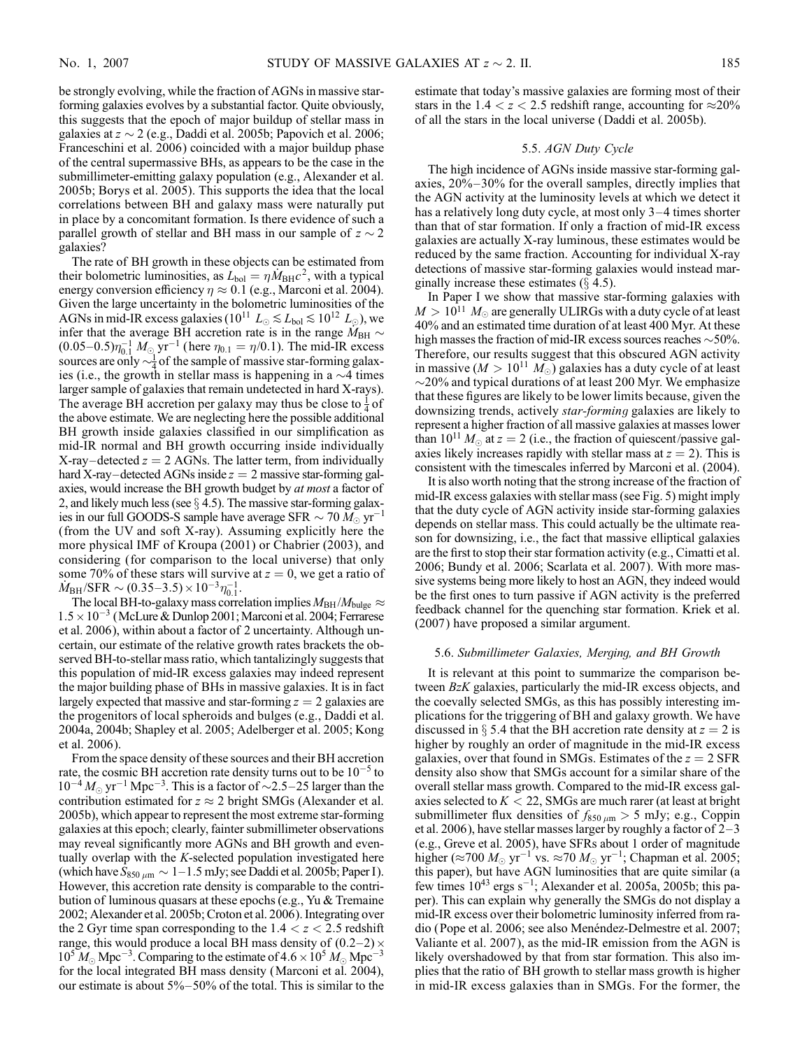be strongly evolving, while the fraction of AGNs in massive starforming galaxies evolves by a substantial factor. Quite obviously, this suggests that the epoch of major buildup of stellar mass in galaxies at  $z \sim 2$  (e.g., Daddi et al. 2005b; Papovich et al. 2006; Franceschini et al. 2006) coincided with a major buildup phase of the central supermassive BHs, as appears to be the case in the submillimeter-emitting galaxy population (e.g., Alexander et al. 2005b; Borys et al. 2005). This supports the idea that the local correlations between BH and galaxy mass were naturally put in place by a concomitant formation. Is there evidence of such a parallel growth of stellar and BH mass in our sample of  $z \sim 2$ galaxies?

The rate of BH growth in these objects can be estimated from their bolometric luminosities, as  $L_{bol} = \eta M_{BH}c^2$ , with a typical energy conversion efficiency  $\eta \approx 0.1$  (e.g., Marconi et al. 2004). Given the large uncertainty in the bolometric luminosities of the AGNs in mid-IR excess galaxies ( $10^{11} L_{\odot} \lesssim L_{\text{bol}} \lesssim 10^{12} L_{\odot}$ ), we infer that the average BH accretion rate is in the range  $\widetilde{M}_{\rm BH} \sim$  $(0.05-0.5)\eta_{0.1}^{-1} M_{\odot}$  yr<sup>-1</sup> (here  $\eta_{0.1} = \eta/0.1$ ). The mid-IR excess sources are only  $\sim \frac{1}{4}$  of the sample of massive star-forming galaxies (i.e., the growth in stellar mass is happening in a  $\sim$ 4 times larger sample of galaxies that remain undetected in hard X-rays). The average BH accretion per galaxy may thus be close to  $\frac{1}{4}$  of the above estimate. We are neglecting here the possible additional BH growth inside galaxies classified in our simplification as mid-IR normal and BH growth occurring inside individually X-ray-detected  $z = 2$  AGNs. The latter term, from individually hard X-ray-detected AGNs inside  $z = 2$  massive star-forming galaxies, would increase the BH growth budget by at most a factor of 2, and likely much less (see  $\S$  4.5). The massive star-forming galaxies in our full GOODS-S sample have average SFR  $\sim 70\,M_\odot\, {\rm yr}^{-1}$ (from the UV and soft X-ray). Assuming explicitly here the more physical IMF of Kroupa (2001) or Chabrier (2003), and considering (for comparison to the local universe) that only some 70% of these stars will survive at  $z = 0$ , we get a ratio of  $\dot{M}_{\rm BH}/\mathrm{SFR} \sim (0.35\text{--}3.5) \times 10^{-3} \eta_{0.1}^{-1}.$ 

The local BH-to-galaxy mass correlation implies  $M_{BH}/M_{bulge} \approx$  $1.5 \times 10^{-3}$  (McLure & Dunlop 2001; Marconi et al. 2004; Ferrarese et al. 2006), within about a factor of 2 uncertainty. Although uncertain, our estimate of the relative growth rates brackets the observed BH-to-stellar mass ratio, which tantalizingly suggests that this population of mid-IR excess galaxies may indeed represent the major building phase of BHs in massive galaxies. It is in fact largely expected that massive and star-forming  $z = 2$  galaxies are the progenitors of local spheroids and bulges (e.g., Daddi et al. 2004a, 2004b; Shapley et al. 2005; Adelberger et al. 2005; Kong et al. 2006).

From the space density of these sources and their BH accretion rate, the cosmic BH accretion rate density turns out to be  $10^{-5}$  to  $10^{-4} M_{\odot} \text{ yr}^{-1} \text{ Mpc}^{-3}$ . This is a factor of  $\sim 2.5-25$  larger than the contribution estimated for  $z \approx 2$  bright SMGs (Alexander et al. 2005b), which appear to represent the most extreme star-forming galaxies at this epoch; clearly, fainter submillimeter observations may reveal significantly more AGNs and BH growth and eventually overlap with the K-selected population investigated here (which have  $\bar{S}_{850 \mu m} \sim 1-1.5$  mJy; see Daddi et al. 2005b; Paper I). However, this accretion rate density is comparable to the contribution of luminous quasars at these epochs (e.g., Yu & Tremaine 2002; Alexander et al. 2005b; Croton et al. 2006). Integrating over the 2 Gyr time span corresponding to the  $1.4 < z < 2.5$  redshift range, this would produce a local BH mass density of  $(0.2-2) \times$  $10^5 M_{\odot}$  Mpc<sup>-3</sup>. Comparing to the estimate of  $4.6 \times 10^5 M_{\odot}$  Mpc<sup>-3</sup> for the local integrated BH mass density (Marconi et al. 2004), our estimate is about  $5\% - 50\%$  of the total. This is similar to the estimate that today's massive galaxies are forming most of their stars in the  $1.4 < z < 2.5$  redshift range, accounting for  $\approx 20\%$ of all the stars in the local universe (Daddi et al. 2005b).

## 5.5. AGN Duty Cycle

The high incidence of AGNs inside massive star-forming galaxies,  $20\% - 30\%$  for the overall samples, directly implies that the AGN activity at the luminosity levels at which we detect it has a relatively long duty cycle, at most only  $3-4$  times shorter than that of star formation. If only a fraction of mid-IR excess galaxies are actually X-ray luminous, these estimates would be reduced by the same fraction. Accounting for individual X-ray detections of massive star-forming galaxies would instead marginally increase these estimates  $(\S 4.5)$ .

In Paper I we show that massive star-forming galaxies with  $M > 10^{11} M_{\odot}$  are generally ULIRGs with a duty cycle of at least 40% and an estimated time duration of at least 400 Myr. At these high masses the fraction of mid-IR excess sources reaches  $\sim$  50%. Therefore, our results suggest that this obscured AGN activity in massive ( $M > 10^{11} M_{\odot}$ ) galaxies has a duty cycle of at least  $\sim$ 20% and typical durations of at least 200 Myr. We emphasize that these figures are likely to be lower limits because, given the downsizing trends, actively star-forming galaxies are likely to represent a higher fraction of all massive galaxies at masses lower than  $10^{11} M_{\odot}$  at  $z = 2$  (i.e., the fraction of quiescent/passive galaxies likely increases rapidly with stellar mass at  $z = 2$ ). This is consistent with the timescales inferred by Marconi et al. (2004).

It is also worth noting that the strong increase of the fraction of mid-IR excess galaxies with stellar mass (see Fig. 5) might imply that the duty cycle of AGN activity inside star-forming galaxies depends on stellar mass. This could actually be the ultimate reason for downsizing, i.e., the fact that massive elliptical galaxies are the first to stop their star formation activity (e.g., Cimatti et al. 2006; Bundy et al. 2006; Scarlata et al. 2007). With more massive systems being more likely to host an AGN, they indeed would be the first ones to turn passive if AGN activity is the preferred feedback channel for the quenching star formation. Kriek et al. (2007) have proposed a similar argument.

#### 5.6. Submillimeter Galaxies, Merging, and BH Growth

It is relevant at this point to summarize the comparison between BzK galaxies, particularly the mid-IR excess objects, and the coevally selected SMGs, as this has possibly interesting implications for the triggering of BH and galaxy growth. We have discussed in  $\S$  5.4 that the BH accretion rate density at  $z = 2$  is higher by roughly an order of magnitude in the mid-IR excess galaxies, over that found in SMGs. Estimates of the  $z = 2$  SFR density also show that SMGs account for a similar share of the overall stellar mass growth. Compared to the mid-IR excess galaxies selected to  $K < 22$ , SMGs are much rarer (at least at bright submillimeter flux densities of  $f_{850 \mu m} > 5$  mJy; e.g., Coppin et al. 2006), have stellar masses larger by roughly a factor of  $2-3$ (e.g., Greve et al. 2005), have SFRs about 1 order of magnitude higher ( $\approx$ 700  $M_{\odot}$  yr<sup>-1</sup> vs.  $\approx$ 70  $M_{\odot}$  yr<sup>-1</sup>; Chapman et al. 2005; this paper), but have AGN luminosities that are quite similar (a few times  $10^{43}$  ergs s<sup>-1</sup>; Alexander et al. 2005a, 2005b; this paper). This can explain why generally the SMGs do not display a mid-IR excess over their bolometric luminosity inferred from radio (Pope et al. 2006; see also Menéndez-Delmestre et al. 2007; Valiante et al. 2007), as the mid-IR emission from the AGN is likely overshadowed by that from star formation. This also implies that the ratio of BH growth to stellar mass growth is higher in mid-IR excess galaxies than in SMGs. For the former, the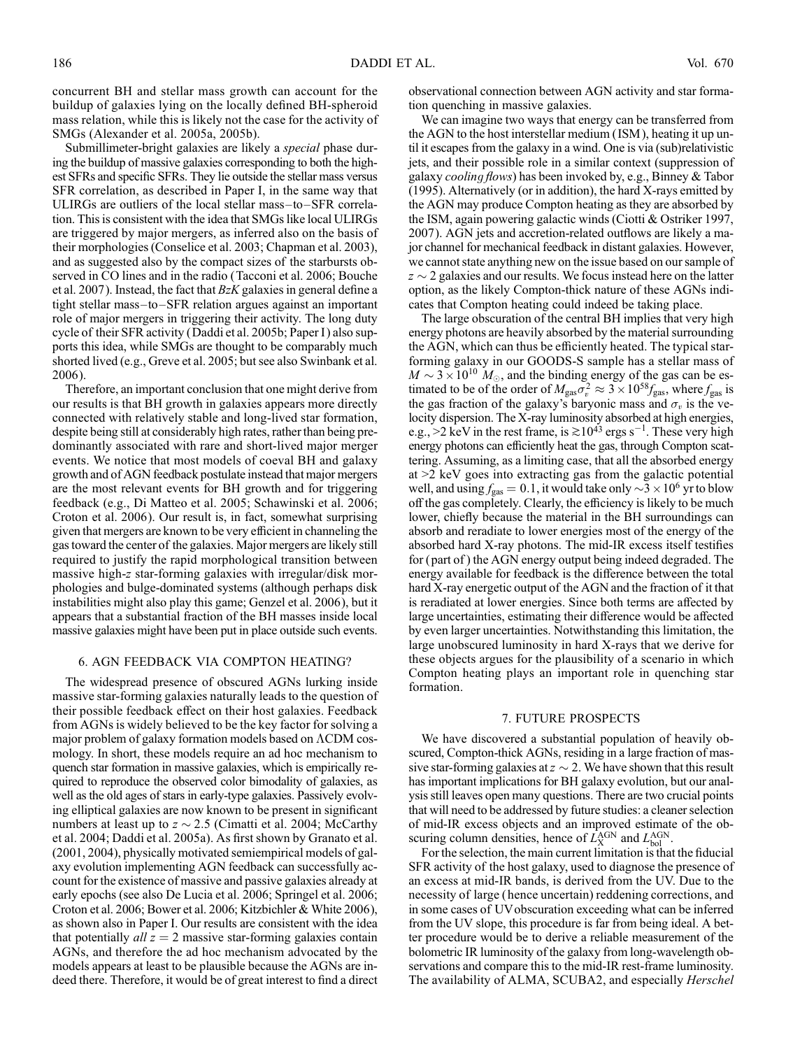concurrent BH and stellar mass growth can account for the buildup of galaxies lying on the locally defined BH-spheroid mass relation, while this is likely not the case for the activity of SMGs (Alexander et al. 2005a, 2005b).

Submillimeter-bright galaxies are likely a *special* phase during the buildup of massive galaxies corresponding to both the highest SFRs and specific SFRs. They lie outside the stellar mass versus SFR correlation, as described in Paper I, in the same way that ULIRGs are outliers of the local stellar mass $-to-SFR$  correlation. This is consistent with the idea that SMGs like local ULIRGs are triggered by major mergers, as inferred also on the basis of their morphologies (Conselice et al. 2003; Chapman et al. 2003), and as suggested also by the compact sizes of the starbursts observed in CO lines and in the radio (Tacconi et al. 2006; Bouche et al. 2007). Instead, the fact that  $BzK$  galaxies in general define a tight stellar mass-to-SFR relation argues against an important role of major mergers in triggering their activity. The long duty cycle of their SFR activity (Daddi et al. 2005b; Paper I) also supports this idea, while SMGs are thought to be comparably much shorted lived (e.g., Greve et al. 2005; but see also Swinbank et al. 2006).

Therefore, an important conclusion that one might derive from our results is that BH growth in galaxies appears more directly connected with relatively stable and long-lived star formation, despite being still at considerably high rates, rather than being predominantly associated with rare and short-lived major merger events. We notice that most models of coeval BH and galaxy growth and of AGN feedback postulate instead that major mergers are the most relevant events for BH growth and for triggering feedback (e.g., Di Matteo et al. 2005; Schawinski et al. 2006; Croton et al. 2006). Our result is, in fact, somewhat surprising given that mergers are known to be very efficient in channeling the gas toward the center of the galaxies. Major mergers are likely still required to justify the rapid morphological transition between massive high-z star-forming galaxies with irregular/disk morphologies and bulge-dominated systems (although perhaps disk instabilities might also play this game; Genzel et al. 2006), but it appears that a substantial fraction of the BH masses inside local massive galaxies might have been put in place outside such events.

# 6. AGN FEEDBACK VIA COMPTON HEATING?

The widespread presence of obscured AGNs lurking inside massive star-forming galaxies naturally leads to the question of their possible feedback effect on their host galaxies. Feedback from AGNs is widely believed to be the key factor for solving a major problem of galaxy formation models based on  $\Lambda \text{CDM}$  cosmology. In short, these models require an ad hoc mechanism to quench star formation in massive galaxies, which is empirically required to reproduce the observed color bimodality of galaxies, as well as the old ages of stars in early-type galaxies. Passively evolving elliptical galaxies are now known to be present in significant numbers at least up to  $z \sim 2.5$  (Cimatti et al. 2004; McCarthy et al. 2004; Daddi et al. 2005a). As first shown by Granato et al. (2001, 2004), physically motivated semiempirical models of galaxy evolution implementing AGN feedback can successfully account for the existence of massive and passive galaxies already at early epochs (see also De Lucia et al. 2006; Springel et al. 2006; Croton et al. 2006; Bower et al. 2006; Kitzbichler & White 2006), as shown also in Paper I. Our results are consistent with the idea that potentially  $all z = 2$  massive star-forming galaxies contain AGNs, and therefore the ad hoc mechanism advocated by the models appears at least to be plausible because the AGNs are indeed there. Therefore, it would be of great interest to find a direct

observational connection between AGN activity and star formation quenching in massive galaxies.

We can imagine two ways that energy can be transferred from the AGN to the host interstellar medium ( ISM ), heating it up until it escapes from the galaxy in a wind. One is via (sub)relativistic jets, and their possible role in a similar context (suppression of galaxy cooling flows) has been invoked by, e.g., Binney & Tabor (1995). Alternatively (or in addition), the hard X-rays emitted by the AGN may produce Compton heating as they are absorbed by the ISM, again powering galactic winds (Ciotti & Ostriker 1997, 2007). AGN jets and accretion-related outflows are likely a major channel for mechanical feedback in distant galaxies. However, we cannot state anything new on the issue based on our sample of  $z \sim 2$  galaxies and our results. We focus instead here on the latter option, as the likely Compton-thick nature of these AGNs indicates that Compton heating could indeed be taking place.

The large obscuration of the central BH implies that very high energy photons are heavily absorbed by the material surrounding the AGN, which can thus be efficiently heated. The typical starforming galaxy in our GOODS-S sample has a stellar mass of  $M \sim 3 \times 10^{10} M_{\odot}$ , and the binding energy of the gas can be estimated to be of the order of  $M_{\rm gas}\bar{\sigma_v^2} \approx 3 \times 10^{58} f_{\rm gas}$ , where  $f_{\rm gas}$  is the gas fraction of the galaxy's baryonic mass and  $\sigma_v$  is the velocity dispersion. The X-ray luminosity absorbed at high energies, e.g., >2 keV in the rest frame, is  $\geq 10^{43}$  ergs s<sup>-1</sup>. These very high energy photons can efficiently heat the gas, through Compton scattering. Assuming, as a limiting case, that all the absorbed energy at >2 keV goes into extracting gas from the galactic potential well, and using  $f_{\text{gas}} = 0.1$ , it would take only  $\sim$  3  $\times$  10<sup>6</sup> yr to blow off the gas completely. Clearly, the efficiency is likely to be much lower, chiefly because the material in the BH surroundings can absorb and reradiate to lower energies most of the energy of the absorbed hard X-ray photons. The mid-IR excess itself testifies for (part of ) the AGN energy output being indeed degraded. The energy available for feedback is the difference between the total hard X-ray energetic output of the AGN and the fraction of it that is reradiated at lower energies. Since both terms are affected by large uncertainties, estimating their difference would be affected by even larger uncertainties. Notwithstanding this limitation, the large unobscured luminosity in hard X-rays that we derive for these objects argues for the plausibility of a scenario in which Compton heating plays an important role in quenching star formation.

### 7. FUTURE PROSPECTS

We have discovered a substantial population of heavily obscured, Compton-thick AGNs, residing in a large fraction of massive star-forming galaxies at  $z \sim 2$ . We have shown that this result has important implications for BH galaxy evolution, but our analysis still leaves open many questions. There are two crucial points that will need to be addressed by future studies: a cleaner selection of mid-IR excess objects and an improved estimate of the obscuring column densities, hence of  $\overline{L}_X^{AGN}$  and  $L_{bol}^{AGN}$ .

For the selection, the main current limitation is that the fiducial SFR activity of the host galaxy, used to diagnose the presence of an excess at mid-IR bands, is derived from the UV. Due to the necessity of large ( hence uncertain) reddening corrections, and in some cases of UVobscuration exceeding what can be inferred from the UV slope, this procedure is far from being ideal. A better procedure would be to derive a reliable measurement of the bolometric IR luminosity of the galaxy from long-wavelength observations and compare this to the mid-IR rest-frame luminosity. The availability of ALMA, SCUBA2, and especially *Herschel*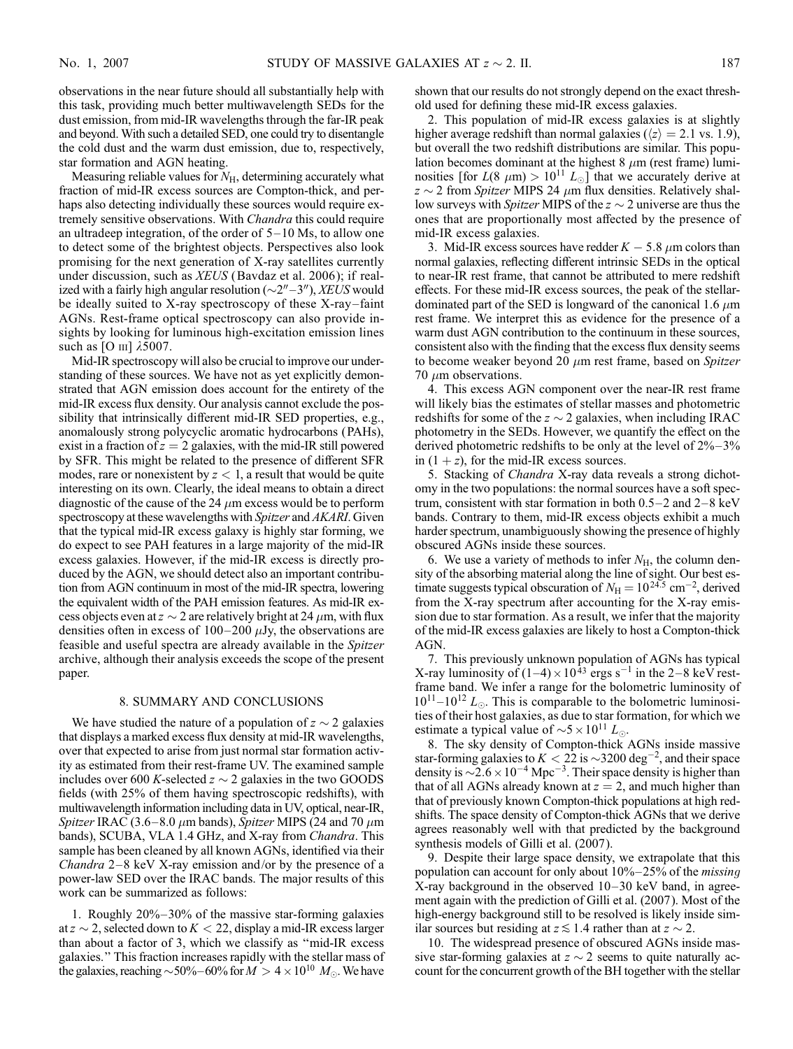observations in the near future should all substantially help with this task, providing much better multiwavelength SEDs for the dust emission, from mid-IR wavelengths through the far-IR peak and beyond. With such a detailed SED, one could try to disentangle the cold dust and the warm dust emission, due to, respectively, star formation and AGN heating.

Measuring reliable values for  $N_{\rm H}$ , determining accurately what fraction of mid-IR excess sources are Compton-thick, and perhaps also detecting individually these sources would require extremely sensitive observations. With *Chandra* this could require an ultradeep integration, of the order of  $5-10$  Ms, to allow one to detect some of the brightest objects. Perspectives also look promising for the next generation of X-ray satellites currently under discussion, such as XEUS (Bavdaz et al. 2006); if realized with a fairly high angular resolution  $(\sim 2'' - 3'')$ , XEUS would be ideally suited to  $X$ -ray spectroscopy of these  $X$ -ray-faint AGNs. Rest-frame optical spectroscopy can also provide insights by looking for luminous high-excitation emission lines such as [O iii] *k*5007.

Mid-IR spectroscopy will also be crucial to improve our understanding of these sources. We have not as yet explicitly demonstrated that AGN emission does account for the entirety of the mid-IR excess flux density. Our analysis cannot exclude the possibility that intrinsically different mid-IR SED properties, e.g., anomalously strong polycyclic aromatic hydrocarbons (PAHs), exist in a fraction of  $z = 2$  galaxies, with the mid-IR still powered by SFR. This might be related to the presence of different SFR modes, rare or nonexistent by  $z < 1$ , a result that would be quite interesting on its own. Clearly, the ideal means to obtain a direct diagnostic of the cause of the 24  $\mu$ m excess would be to perform spectroscopy at these wavelengths with *Spitzer* and *AKARI*. Given that the typical mid-IR excess galaxy is highly star forming, we do expect to see PAH features in a large majority of the mid-IR excess galaxies. However, if the mid-IR excess is directly produced by the AGN, we should detect also an important contribution from AGN continuum in most of the mid-IR spectra, lowering the equivalent width of the PAH emission features. As mid-IR excess objects even at  $z \sim 2$  are relatively bright at 24  $\mu$ m, with flux densities often in excess of  $100-200 \mu Jy$ , the observations are feasible and useful spectra are already available in the Spitzer archive, although their analysis exceeds the scope of the present paper.

#### 8. SUMMARY AND CONCLUSIONS

We have studied the nature of a population of  $z \sim 2$  galaxies that displays a marked excess flux density at mid-IR wavelengths, over that expected to arise from just normal star formation activity as estimated from their rest-frame UV. The examined sample includes over 600 K-selected  $z \sim 2$  galaxies in the two GOODS fields (with 25% of them having spectroscopic redshifts), with multiwavelength information including data in UV, optical, near-IR, Spitzer IRAC (3.6–8.0  $\mu$ m bands), Spitzer MIPS (24 and 70  $\mu$ m bands), SCUBA, VLA 1.4 GHz, and X-ray from Chandra. This sample has been cleaned by all known AGNs, identified via their *Chandra*  $2-8$  keV X-ray emission and/or by the presence of a power-law SED over the IRAC bands. The major results of this work can be summarized as follows:

1. Roughly  $20\% - 30\%$  of the massive star-forming galaxies at  $z \sim 2$ , selected down to  $K < 22$ , display a mid-IR excess larger than about a factor of 3, which we classify as ''mid-IR excess galaxies.'' This fraction increases rapidly with the stellar mass of the galaxies, reaching  $\sim$  50%–60% for  $M > 4 \times 10^{10} M_{\odot}$ . We have shown that our results do not strongly depend on the exact threshold used for defining these mid-IR excess galaxies.

2. This population of mid-IR excess galaxies is at slightly higher average redshift than normal galaxies ( $\langle z \rangle = 2.1$  vs. 1.9), but overall the two redshift distributions are similar. This population becomes dominant at the highest  $8 \mu m$  (rest frame) luminosities [for  $L(8 \mu m) > 10^{11} L_{\odot}$ ] that we accurately derive at  $z \sim 2$  from Spitzer MIPS 24  $\mu$ m flux densities. Relatively shallow surveys with *Spitzer* MIPS of the  $z \sim 2$  universe are thus the ones that are proportionally most affected by the presence of mid-IR excess galaxies.

3. Mid-IR excess sources have redder  $K - 5.8 \mu m$  colors than normal galaxies, reflecting different intrinsic SEDs in the optical to near-IR rest frame, that cannot be attributed to mere redshift effects. For these mid-IR excess sources, the peak of the stellardominated part of the SED is longward of the canonical 1.6  $\mu$ m rest frame. We interpret this as evidence for the presence of a warm dust AGN contribution to the continuum in these sources, consistent also with the finding that the excess flux density seems to become weaker beyond 20  $\mu$ m rest frame, based on Spitzer 70  $\mu$ m observations.

4. This excess AGN component over the near-IR rest frame will likely bias the estimates of stellar masses and photometric redshifts for some of the  $z \sim 2$  galaxies, when including IRAC photometry in the SEDs. However, we quantify the effect on the derived photometric redshifts to be only at the level of  $2\% - 3\%$ in  $(1 + z)$ , for the mid-IR excess sources.

5. Stacking of Chandra X-ray data reveals a strong dichotomy in the two populations: the normal sources have a soft spectrum, consistent with star formation in both  $0.5-2$  and  $2-8$  keV bands. Contrary to them, mid-IR excess objects exhibit a much harder spectrum, unambiguously showing the presence of highly obscured AGNs inside these sources.

6. We use a variety of methods to infer  $N_{\rm H}$ , the column density of the absorbing material along the line of sight. Our best estimate suggests typical obscuration of  $N_H = 10^{24.5}$  cm<sup>-2</sup>, derived from the X-ray spectrum after accounting for the X-ray emission due to star formation. As a result, we infer that the majority of the mid-IR excess galaxies are likely to host a Compton-thick AGN.

7. This previously unknown population of AGNs has typical X-ray luminosity of  $(1-4) \times 10^{43}$  ergs s<sup>-1</sup> in the 2-8 keV restframe band. We infer a range for the bolometric luminosity of  $10^{11}-10^{12} L_{\odot}$ . This is comparable to the bolometric luminosities of their host galaxies, as due to star formation, for which we estimate a typical value of  $\sim 5 \times 10^{11} L_{\odot}$ .

8. The sky density of Compton-thick AGNs inside massive star-forming galaxies to  $K < 22$  is  $\sim$ 3200 deg<sup>-2</sup>, and their space density is  $\sim 2.6 \times 10^{-4}$  Mpc<sup>-3</sup>. Their space density is higher than that of all AGNs already known at  $z = 2$ , and much higher than that of previously known Compton-thick populations at high redshifts. The space density of Compton-thick AGNs that we derive agrees reasonably well with that predicted by the background synthesis models of Gilli et al. (2007).

9. Despite their large space density, we extrapolate that this population can account for only about  $10\% - 25\%$  of the *missing*  $X$ -ray background in the observed  $10-30$  keV band, in agreement again with the prediction of Gilli et al. (2007). Most of the high-energy background still to be resolved is likely inside similar sources but residing at  $z \leq 1.4$  rather than at  $z \sim 2$ .

10. The widespread presence of obscured AGNs inside massive star-forming galaxies at  $z \sim 2$  seems to quite naturally account for the concurrent growth of the BH together with the stellar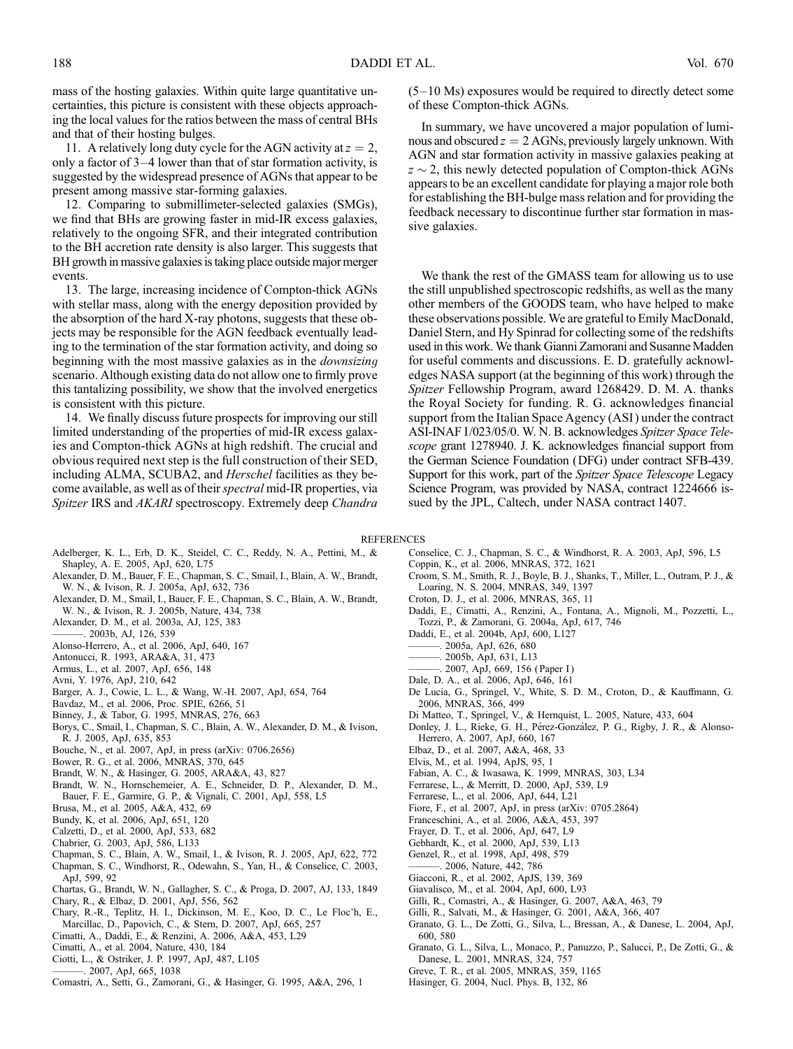mass of the hosting galaxies. Within quite large quantitative uncertainties, this picture is consistent with these objects approaching the local values for the ratios between the mass of central BHs and that of their hosting bulges.

11. A relatively long duty cycle for the AGN activity at  $z = 2$ , only a factor of  $3-4$  lower than that of star formation activity, is suggested by the widespread presence of AGNs that appear to be present among massive star-forming galaxies.

12. Comparing to submillimeter-selected galaxies (SMGs), we find that BHs are growing faster in mid-IR excess galaxies, relatively to the ongoing SFR, and their integrated contribution to the BH accretion rate density is also larger. This suggests that BH growth in massive galaxies is taking place outside major merger events.

13. The large, increasing incidence of Compton-thick AGNs with stellar mass, along with the energy deposition provided by the absorption of the hard X-ray photons, suggests that these objects may be responsible for the AGN feedback eventually leading to the termination of the star formation activity, and doing so beginning with the most massive galaxies as in the *downsizing* scenario. Although existing data do not allow one to firmly prove this tantalizing possibility, we show that the involved energetics is consistent with this picture.

14. We finally discuss future prospects for improving our still limited understanding of the properties of mid-IR excess galaxies and Compton-thick AGNs at high redshift. The crucial and obvious required next step is the full construction of their SED, including ALMA, SCUBA2, and *Herschel* facilities as they become available, as well as of their *spectral* mid-IR properties, via Spitzer IRS and AKARI spectroscopy. Extremely deep Chandra

 $(5-10 \text{ Ms})$  exposures would be required to directly detect some of these Compton-thick AGNs.

In summary, we have uncovered a major population of luminous and obscured  $z = 2$  AGNs, previously largely unknown. With AGN and star formation activity in massive galaxies peaking at  $z \sim 2$ , this newly detected population of Compton-thick AGNs appears to be an excellent candidate for playing a major role both for establishing the BH-bulge mass relation and for providing the feedback necessary to discontinue further star formation in massive galaxies.

We thank the rest of the GMASS team for allowing us to use the still unpublished spectroscopic redshifts, as well as the many other members of the GOODS team, who have helped to make these observations possible. We are grateful to Emily MacDonald, Daniel Stern, and Hy Spinrad for collecting some of the redshifts used in this work. We thank Gianni Zamorani and Susanne Madden for useful comments and discussions. E. D. gratefully acknowledges NASA support (at the beginning of this work) through the Spitzer Fellowship Program, award 1268429. D. M. A. thanks the Royal Society for funding. R. G. acknowledges financial support from the Italian Space Agency (ASI) under the contract ASI-INAF I/023/05/0. W. N. B. acknowledges Spitzer Space Telescope grant 1278940. J. K. acknowledges financial support from the German Science Foundation (DFG) under contract SFB-439. Support for this work, part of the Spitzer Space Telescope Legacy Science Program, was provided by NASA, contract 1224666 issued by the JPL, Caltech, under NASA contract 1407.

#### **REFERENCES**

- Adelberger, K. L., Erb, D. K., Steidel, C. C., Reddy, N. A., Pettini, M., & Shapley, A. E. 2005, ApJ, 620, L75
- Alexander, D. M., Bauer, F. E., Chapman, S. C., Smail, I., Blain, A. W., Brandt, W. N., & Ivison, R. J. 2005a, ApJ, 632, 736
- Alexander, D. M., Smail, I., Bauer, F. E., Chapman, S. C., Blain, A. W., Brandt, W. N., & Ivison, R. J. 2005b, Nature, 434, 738
- Alexander, D. M., et al. 2003a, AJ, 125, 383
- ———. 2003b, AJ, 126, 539
- Alonso-Herrero, A., et al. 2006, ApJ, 640, 167
- Antonucci, R. 1993, ARA&A, 31, 473
- Armus, L., et al. 2007, ApJ, 656, 148
- Avni, Y. 1976, ApJ, 210, 642
- Barger, A. J., Cowie, L. L., & Wang, W.-H. 2007, ApJ, 654, 764
- Bavdaz, M., et al. 2006, Proc. SPIE, 6266, 51
- Binney, J., & Tabor, G. 1995, MNRAS, 276, 663
- Borys, C., Smail, I., Chapman, S. C., Blain, A. W., Alexander, D. M., & Ivison, R. J. 2005, ApJ, 635, 853
- Bouche, N., et al. 2007, ApJ, in press (arXiv: 0706.2656)
- Bower, R. G., et al. 2006, MNRAS, 370, 645
- Brandt, W. N., & Hasinger, G. 2005, ARA&A, 43, 827
- Brandt, W. N., Hornschemeier, A. E., Schneider, D. P., Alexander, D. M., Bauer, F. E., Garmire, G. P., & Vignali, C. 2001, ApJ, 558, L5
- Brusa, M., et al. 2005, A&A, 432, 69
- Bundy, K, et al. 2006, ApJ, 651, 120
- Calzetti, D., et al. 2000, ApJ, 533, 682
- Chabrier, G. 2003, ApJ, 586, L133
- Chapman, S. C., Blain, A. W., Smail, I., & Ivison, R. J. 2005, ApJ, 622, 772
- Chapman, S. C., Windhorst, R., Odewahn, S., Yan, H., & Conselice, C. 2003, ApJ, 599, 92
- Chartas, G., Brandt, W. N., Gallagher, S. C., & Proga, D. 2007, AJ, 133, 1849
- Chary, R., & Elbaz, D. 2001, ApJ, 556, 562
- Chary, R.-R., Teplitz, H. I., Dickinson, M. E., Koo, D. C., Le Floc'h, E., Marcillac, D., Papovich, C., & Stern, D. 2007, ApJ, 665, 257
- Cimatti, A., Daddi, E., & Renzini, A. 2006, A&A, 453, L29
- Cimatti, A., et al. 2004, Nature, 430, 184
- Ciotti, L., & Ostriker, J. P. 1997, ApJ, 487, L105
- ———. 2007, ApJ, 665, 1038
- Comastri, A., Setti, G., Zamorani, G., & Hasinger, G. 1995, A&A, 296, 1
- Conselice, C. J., Chapman, S. C., & Windhorst, R. A. 2003, ApJ, 596, L5
- Coppin, K., et al. 2006, MNRAS, 372, 1621
- Croom, S. M., Smith, R. J., Boyle, B. J., Shanks, T., Miller, L., Outram, P. J., & Loaring, N. S. 2004, MNRAS, 349, 1397
- Croton, D. J., et al. 2006, MNRAS, 365, 11
- Daddi, E., Cimatti, A., Renzini, A., Fontana, A., Mignoli, M., Pozzetti, L., Tozzi, P., & Zamorani, G. 2004a, ApJ, 617, 746
- Daddi, E., et al. 2004b, ApJ, 600, L127
- 2005a, ApJ, 626, 680
- ———. 2005b, ApJ, 631, L13
- $-$ . 2007, ApJ, 669, 156 (Paper I)
- Dale, D. A., et al. 2006, ApJ, 646, 161
- De Lucia, G., Springel, V., White, S. D. M., Croton, D., & Kauffmann, G. 2006, MNRAS, 366, 499
- Di Matteo, T., Springel, V., & Hernquist, L. 2005, Nature, 433, 604
- Donley, J. L., Rieke, G. H., Pérez-González, P. G., Rigby, J. R., & Alonso-Herrero, A. 2007, ApJ, 660, 167
- Elbaz, D., et al. 2007, A&A, 468, 33
- Elvis, M., et al. 1994, ApJS, 95, 1
- Fabian, A. C., & Iwasawa, K. 1999, MNRAS, 303, L34
- Ferrarese, L., & Merritt, D. 2000, ApJ, 539, L9
- Ferrarese, L., et al. 2006, ApJ, 644, L21
- Fiore, F., et al. 2007, ApJ, in press (arXiv: 0705.2864)
- Franceschini, A., et al. 2006, A&A, 453, 397
- Frayer, D. T., et al. 2006, ApJ, 647, L9
- Gebhardt, K., et al. 2000, ApJ, 539, L13
- Genzel, R., et al. 1998, ApJ, 498, 579
- ———. 2006, Nature, 442, 786
- Giacconi, R., et al. 2002, ApJS, 139, 369
- Giavalisco, M., et al. 2004, ApJ, 600, L93
- Gilli, R., Comastri, A., & Hasinger, G. 2007, A&A, 463, 79
- Gilli, R., Salvati, M., & Hasinger, G. 2001, A&A, 366, 407
- Granato, G. L., De Zotti, G., Silva, L., Bressan, A., & Danese, L. 2004, ApJ, 600, 580
- Granato, G. L., Silva, L., Monaco, P., Panuzzo, P., Salucci, P., De Zotti, G., & Danese, L. 2001, MNRAS, 324, 757
- Greve, T. R., et al. 2005, MNRAS, 359, 1165
- Hasinger, G. 2004, Nucl. Phys. B, 132, 86